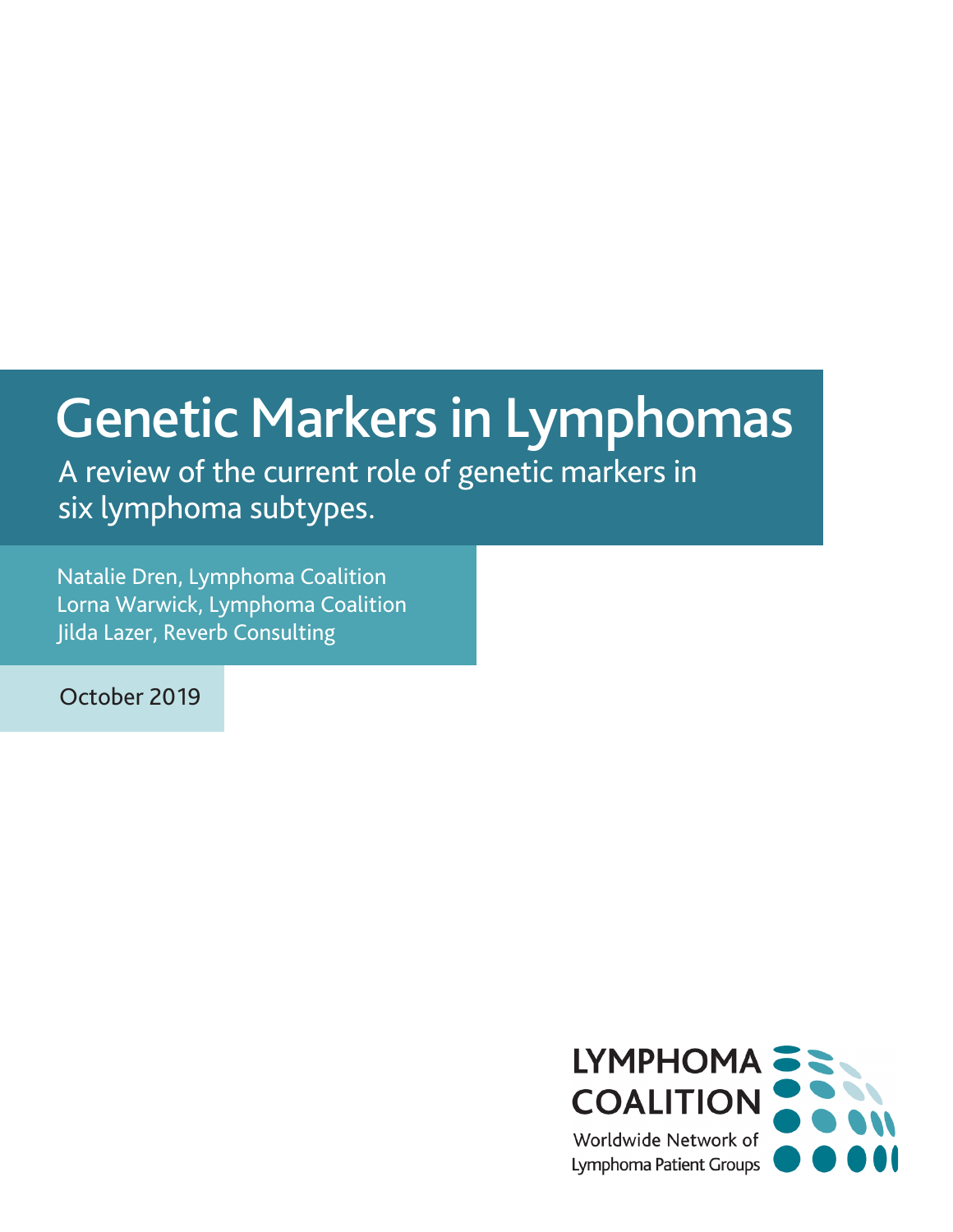# Genetic Markers in Lymphomas

A review of the current role of genetic markers in six lymphoma subtypes.

Natalie Dren, Lymphoma Coalition Lorna Warwick, Lymphoma Coalition Jilda Lazer, Reverb Consulting

October 2019

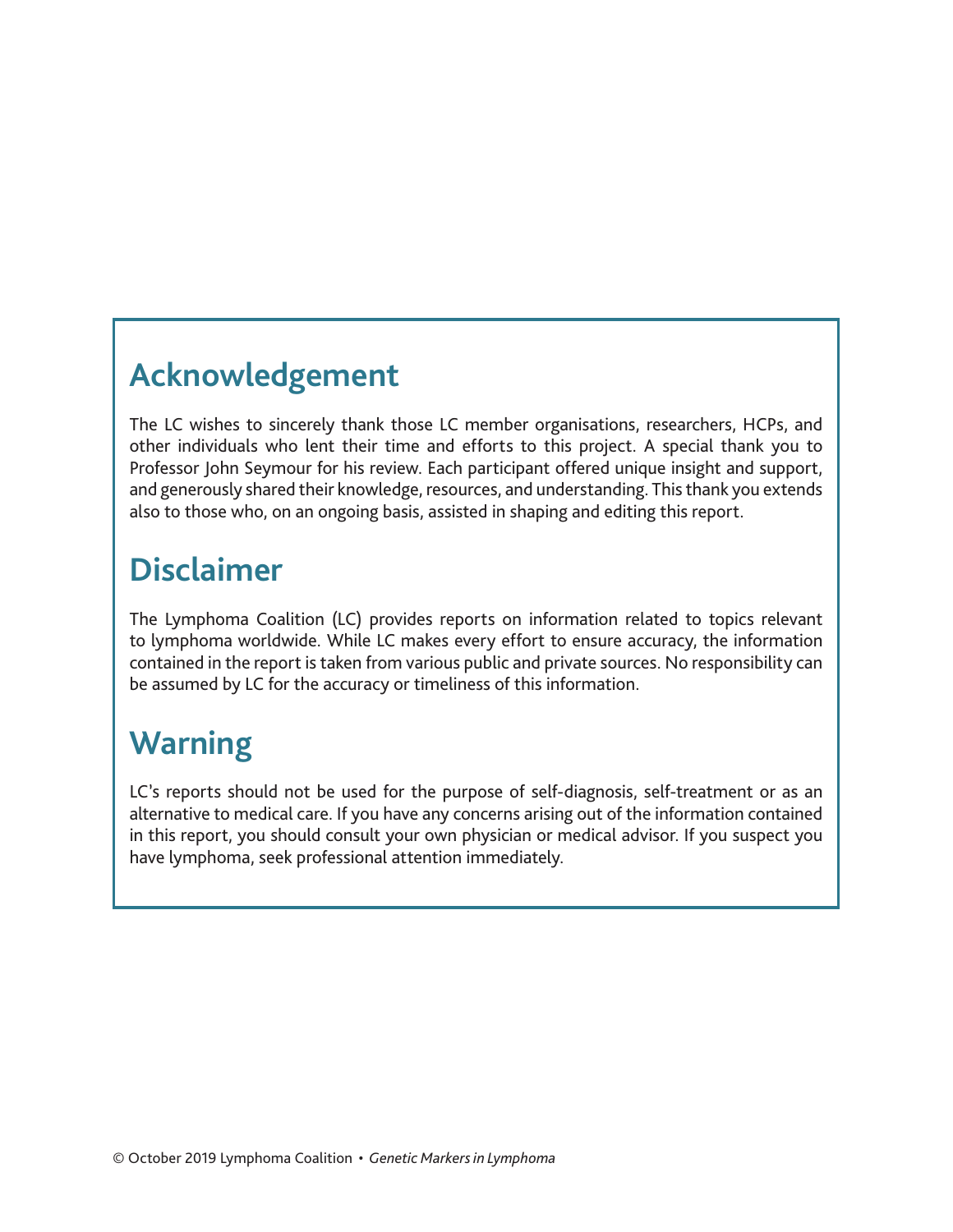### **Acknowledgement**

The LC wishes to sincerely thank those LC member organisations, researchers, HCPs, and other individuals who lent their time and efforts to this project. A special thank you to Professor John Seymour for his review. Each participant offered unique insight and support, and generously shared their knowledge, resources, and understanding. This thank you extends also to those who, on an ongoing basis, assisted in shaping and editing this report.

### **Disclaimer**

The Lymphoma Coalition (LC) provides reports on information related to topics relevant to lymphoma worldwide. While LC makes every effort to ensure accuracy, the information contained in the report is taken from various public and private sources. No responsibility can be assumed by LC for the accuracy or timeliness of this information.

# **Warning**

LC's reports should not be used for the purpose of self-diagnosis, self-treatment or as an alternative to medical care. If you have any concerns arising out of the information contained in this report, you should consult your own physician or medical advisor. If you suspect you have lymphoma, seek professional attention immediately.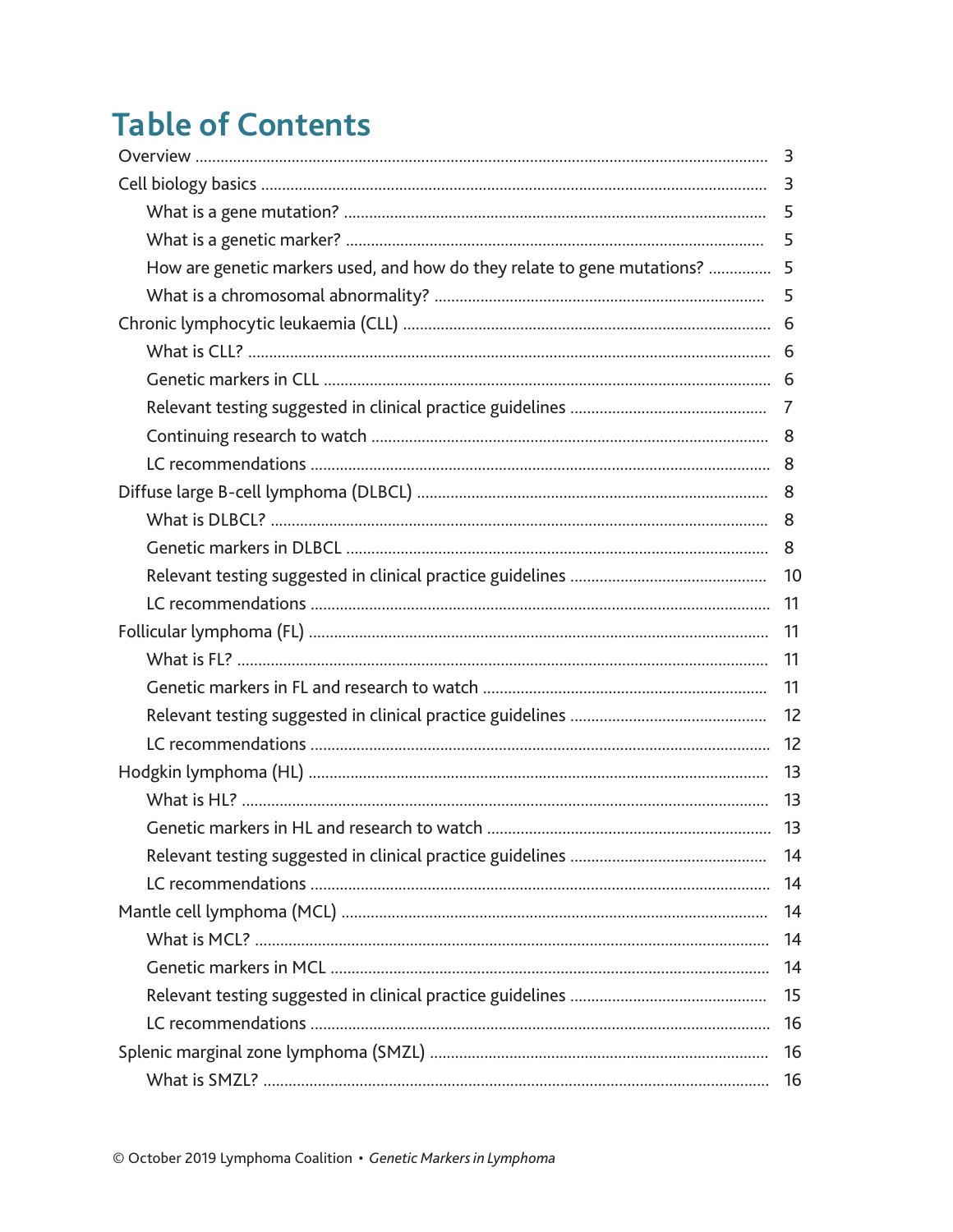# **Table of Contents**

|                                                                            | 3   |
|----------------------------------------------------------------------------|-----|
|                                                                            | 5   |
|                                                                            | 5   |
| How are genetic markers used, and how do they relate to gene mutations?  5 |     |
|                                                                            | 5   |
|                                                                            |     |
|                                                                            |     |
|                                                                            |     |
|                                                                            | 7   |
|                                                                            |     |
|                                                                            |     |
|                                                                            |     |
|                                                                            | 8   |
|                                                                            | 8   |
|                                                                            | 10  |
|                                                                            | -11 |
|                                                                            | 11  |
|                                                                            | 11  |
|                                                                            | 11  |
|                                                                            | 12  |
|                                                                            | 12  |
|                                                                            | -13 |
|                                                                            | 13  |
|                                                                            |     |
|                                                                            | 14  |
|                                                                            | 14  |
|                                                                            | 14  |
|                                                                            | 14  |
|                                                                            | 14  |
|                                                                            | 15  |
|                                                                            | 16  |
|                                                                            | 16  |
|                                                                            | 16  |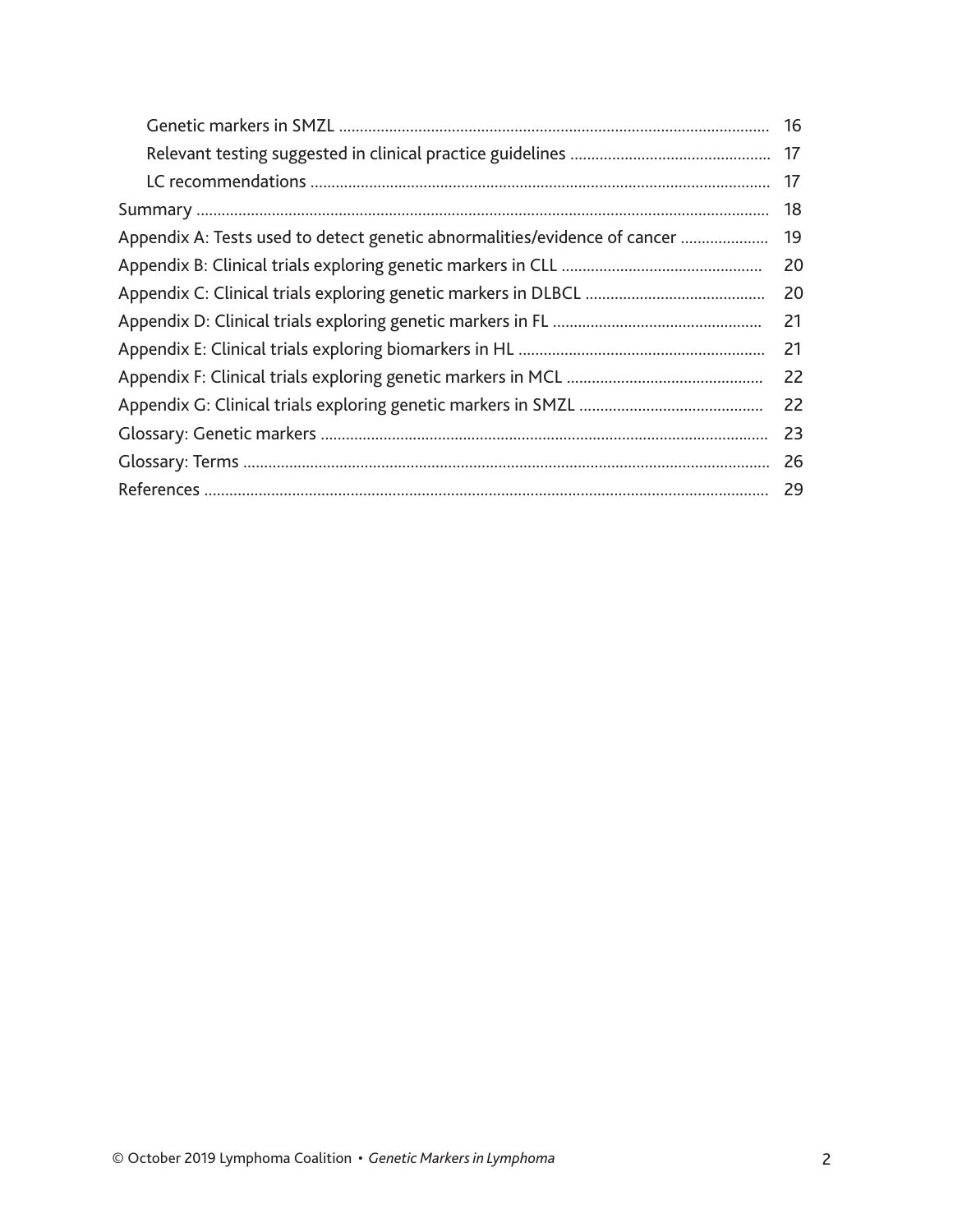|                                                                           | 16 |
|---------------------------------------------------------------------------|----|
|                                                                           |    |
|                                                                           | 17 |
|                                                                           | 18 |
| Appendix A: Tests used to detect genetic abnormalities/evidence of cancer | 19 |
|                                                                           | 20 |
|                                                                           | 20 |
|                                                                           | 21 |
|                                                                           | 21 |
|                                                                           | 22 |
|                                                                           | 22 |
|                                                                           | 23 |
|                                                                           | 26 |
|                                                                           | 29 |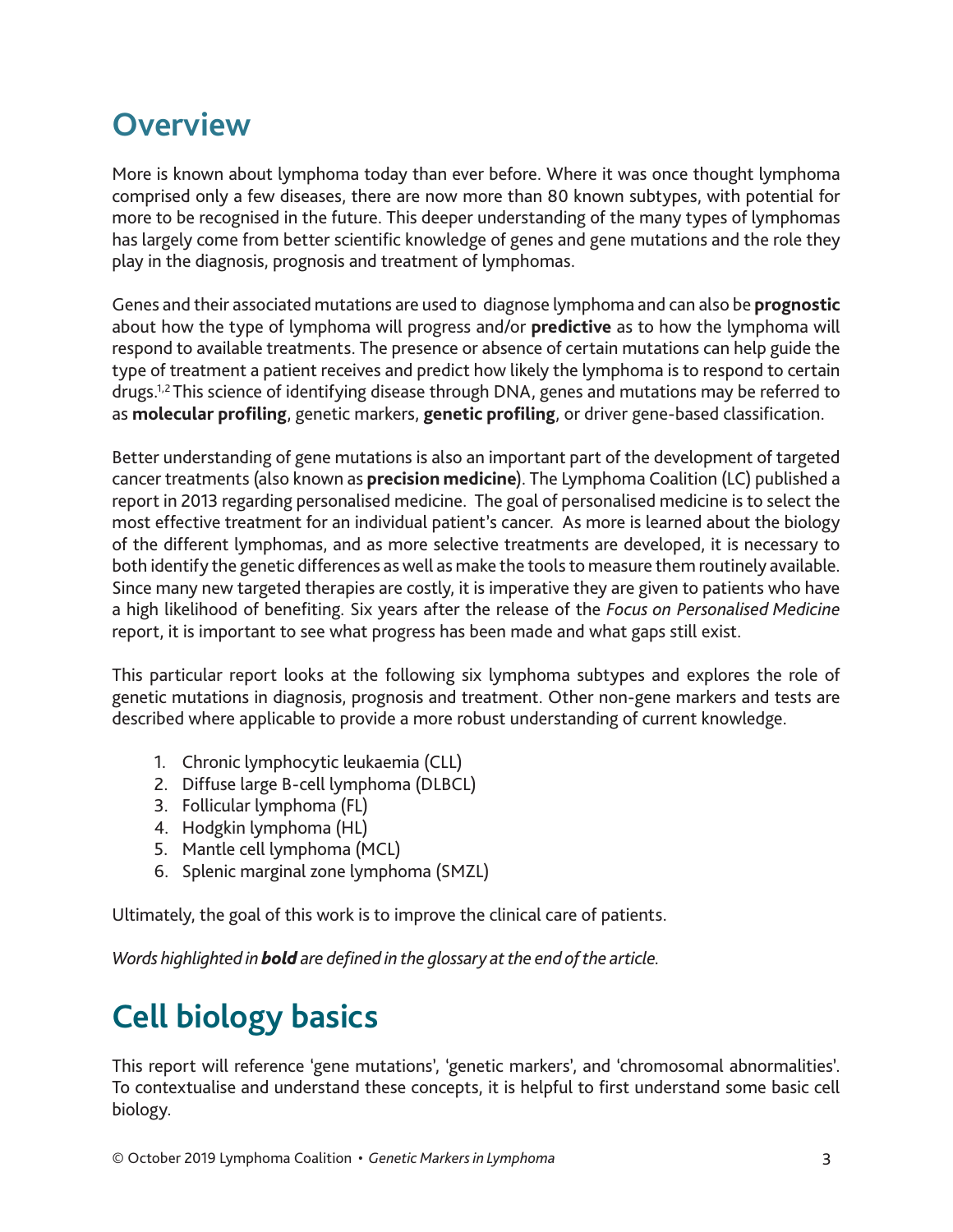### **Overview**

More is known about lymphoma today than ever before. Where it was once thought lymphoma comprised only a few diseases, there are now more than 80 known subtypes, with potential for more to be recognised in the future. This deeper understanding of the many types of lymphomas has largely come from better scientific knowledge of genes and gene mutations and the role they play in the diagnosis, prognosis and treatment of lymphomas.

Genes and their associated mutations are used to diagnose lymphoma and can also be **prognostic**  about how the type of lymphoma will progress and/or **predictive** as to how the lymphoma will respond to available treatments. The presence or absence of certain mutations can help guide the type of treatment a patient receives and predict how likely the lymphoma is to respond to certain drugs.1,2 This science of identifying disease through DNA, genes and mutations may be referred to as **molecular profiling**, genetic markers, **genetic profiling**, or driver gene-based classification.

Better understanding of gene mutations is also an important part of the development of targeted cancer treatments (also known as **precision medicine**). The Lymphoma Coalition (LC) published a report in 2013 regarding personalised medicine. The goal of personalised medicine is to select the most effective treatment for an individual patient's cancer. As more is learned about the biology of the different lymphomas, and as more selective treatments are developed, it is necessary to both identify the genetic differences as well as make the tools to measure them routinely available. Since many new targeted therapies are costly, it is imperative they are given to patients who have a high likelihood of benefiting. Six years after the release of the *Focus on Personalised Medicine* report, it is important to see what progress has been made and what gaps still exist.

This particular report looks at the following six lymphoma subtypes and explores the role of genetic mutations in diagnosis, prognosis and treatment. Other non-gene markers and tests are described where applicable to provide a more robust understanding of current knowledge.

- 1. Chronic lymphocytic leukaemia (CLL)
- 2. Diffuse large B-cell lymphoma (DLBCL)
- 3. Follicular lymphoma (FL)
- 4. Hodgkin lymphoma (HL)
- 5. Mantle cell lymphoma (MCL)
- 6. Splenic marginal zone lymphoma (SMZL)

Ultimately, the goal of this work is to improve the clinical care of patients.

*Words highlighted in bold are defined in the glossary at the end of the article.* 

# **Cell biology basics**

This report will reference 'gene mutations', 'genetic markers', and 'chromosomal abnormalities'. To contextualise and understand these concepts, it is helpful to first understand some basic cell biology.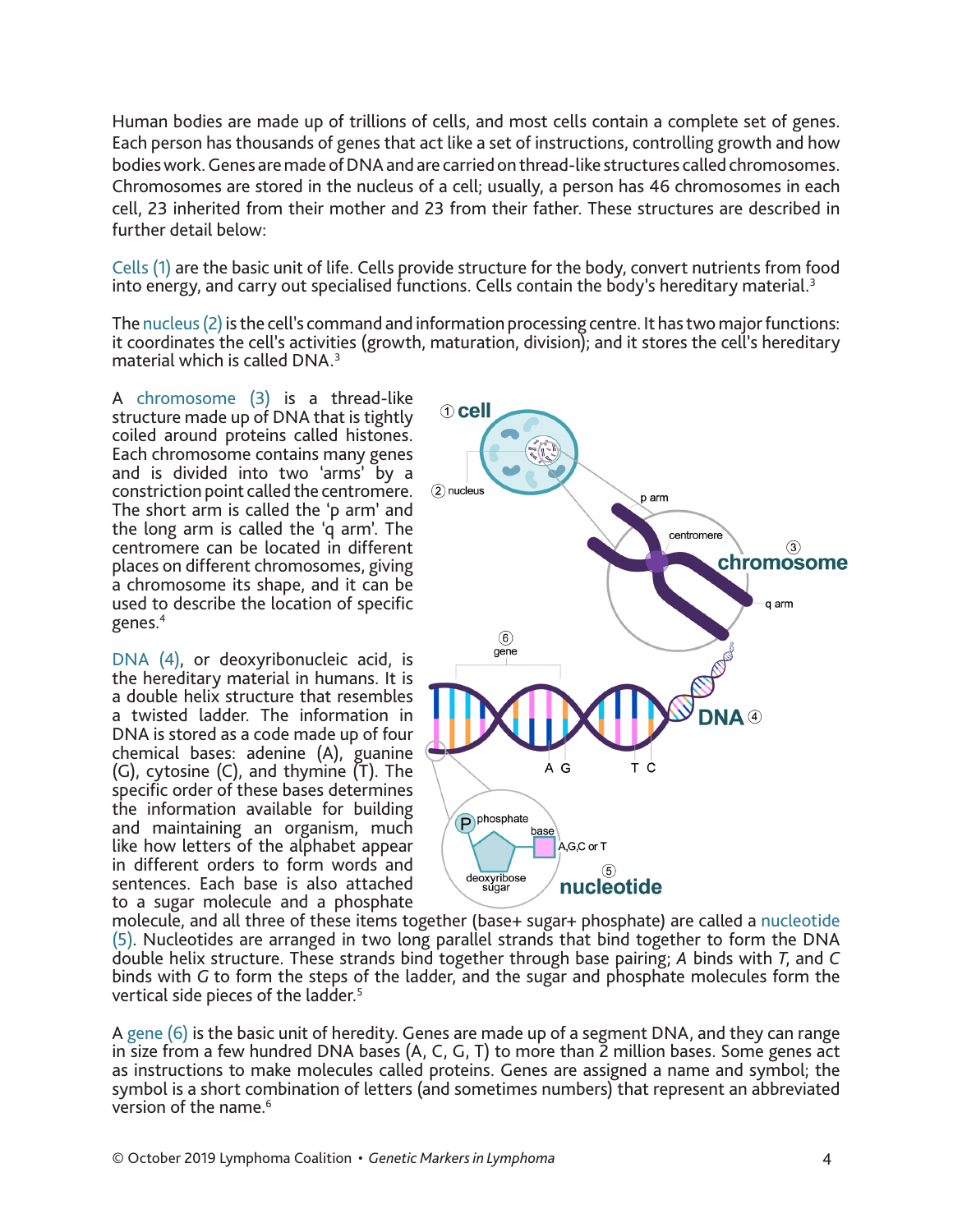Human bodies are made up of trillions of cells, and most cells contain a complete set of genes. Each person has thousands of genes that act like a set of instructions, controlling growth and how bodies work. Genes are made of DNA and are carried on thread-like structures called chromosomes. Chromosomes are stored in the nucleus of a cell; usually, a person has 46 chromosomes in each cell, 23 inherited from their mother and 23 from their father. These structures are described in further detail below:

Cells (1) are the basic unit of life. Cells provide structure for the body, convert nutrients from food into energy, and carry out specialised functions. Cells contain the body's hereditary material.<sup>3</sup>

The nucleus (2) is the cell's command and information processing centre. It has two major functions: it coordinates the cell's activities (growth, maturation, division); and it stores the cell's hereditary material which is called DNA.3

A chromosome (3) is a thread-like structure made up of DNA that is tightly coiled around proteins called histones. Each chromosome contains many genes and is divided into two 'arms' by a constriction point called the centromere. The short arm is called the 'p arm' and the long arm is called the 'q arm'. The centromere can be located in different places on different chromosomes, giving a chromosome its shape, and it can be used to describe the location of specific genes.4

DNA (4), or deoxyribonucleic acid, is the hereditary material in humans. It is a double helix structure that resembles a twisted ladder. The information in DNA is stored as a code made up of four chemical bases: adenine (A), guanine (G), cytosine (C), and thymine (T). The specific order of these bases determines the information available for building and maintaining an organism, much like how letters of the alphabet appear in different orders to form words and sentences. Each base is also attached to a sugar molecule and a phosphate



molecule, and all three of these items together (base+ sugar+ phosphate) are called a nucleotide (5). Nucleotides are arranged in two long parallel strands that bind together to form the DNA double helix structure. These strands bind together through base pairing; *A* binds with *T*, and *C* binds with *G* to form the steps of the ladder, and the sugar and phosphate molecules form the vertical side pieces of the ladder.<sup>5</sup>

A gene (6) is the basic unit of heredity. Genes are made up of a segment DNA, and they can range in size from a few hundred DNA bases (A, C, G, T) to more than 2 million bases. Some genes act as instructions to make molecules called proteins. Genes are assigned a name and symbol; the symbol is a short combination of letters (and sometimes numbers) that represent an abbreviated version of the name.<sup>6</sup>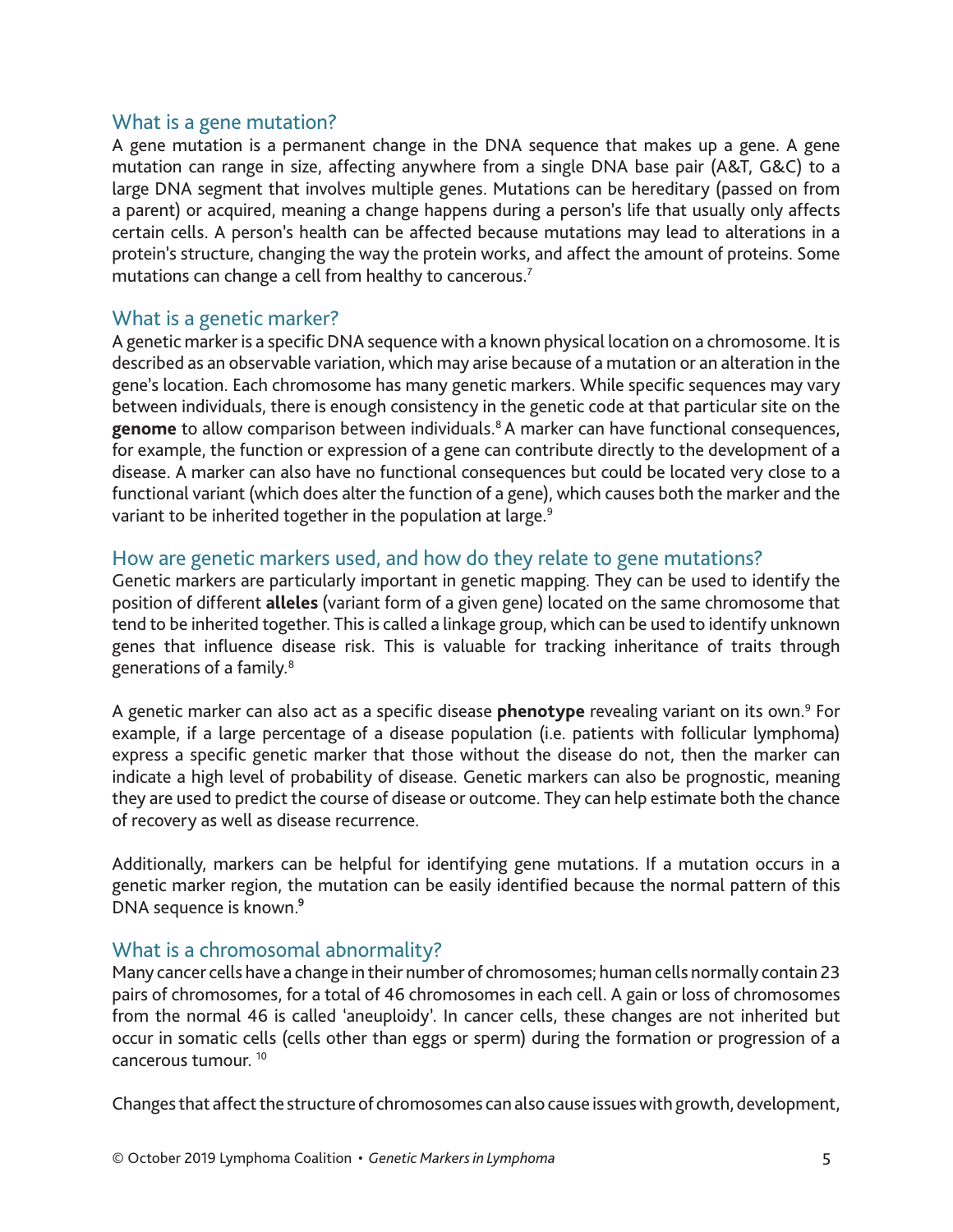#### What is a gene mutation?

A gene mutation is a permanent change in the DNA sequence that makes up a gene. A gene mutation can range in size, affecting anywhere from a single DNA base pair (A&T, G&C) to a large DNA segment that involves multiple genes. Mutations can be hereditary (passed on from a parent) or acquired, meaning a change happens during a person's life that usually only affects certain cells. A person's health can be affected because mutations may lead to alterations in a protein's structure, changing the way the protein works, and affect the amount of proteins. Some mutations can change a cell from healthy to cancerous.<sup>7</sup>

#### What is a genetic marker?

A genetic marker is a specific DNA sequence with a known physical location on a chromosome. It is described as an observable variation, which may arise because of a mutation or an alteration in the gene's location. Each chromosome has many genetic markers. While specific sequences may vary between individuals, there is enough consistency in the genetic code at that particular site on the genome to allow comparison between individuals.<sup>8</sup> A marker can have functional consequences, for example, the function or expression of a gene can contribute directly to the development of a disease. A marker can also have no functional consequences but could be located very close to a functional variant (which does alter the function of a gene), which causes both the marker and the variant to be inherited together in the population at large.<sup>9</sup>

#### How are genetic markers used, and how do they relate to gene mutations?

Genetic markers are particularly important in genetic mapping. They can be used to identify the position of different **alleles** (variant form of a given gene) located on the same chromosome that tend to be inherited together. This is called a linkage group, which can be used to identify unknown genes that influence disease risk. This is valuable for tracking inheritance of traits through generations of a family.8

A genetic marker can also act as a specific disease **phenotype** revealing variant on its own.<sup>9</sup> For example, if a large percentage of a disease population (i.e. patients with follicular lymphoma) express a specific genetic marker that those without the disease do not, then the marker can indicate a high level of probability of disease. Genetic markers can also be prognostic, meaning they are used to predict the course of disease or outcome. They can help estimate both the chance of recovery as well as disease recurrence.

Additionally, markers can be helpful for identifying gene mutations. If a mutation occurs in a genetic marker region, the mutation can be easily identified because the normal pattern of this DNA sequence is known.<sup>9</sup>

#### What is a chromosomal abnormality?

Many cancer cells have a change in their number of chromosomes; human cells normally contain 23 pairs of chromosomes, for a total of 46 chromosomes in each cell. A gain or loss of chromosomes from the normal 46 is called 'aneuploidy'. In cancer cells, these changes are not inherited but occur in somatic cells (cells other than eggs or sperm) during the formation or progression of a cancerous tumour. 10

Changes that affect the structure of chromosomes can also cause issues with growth, development,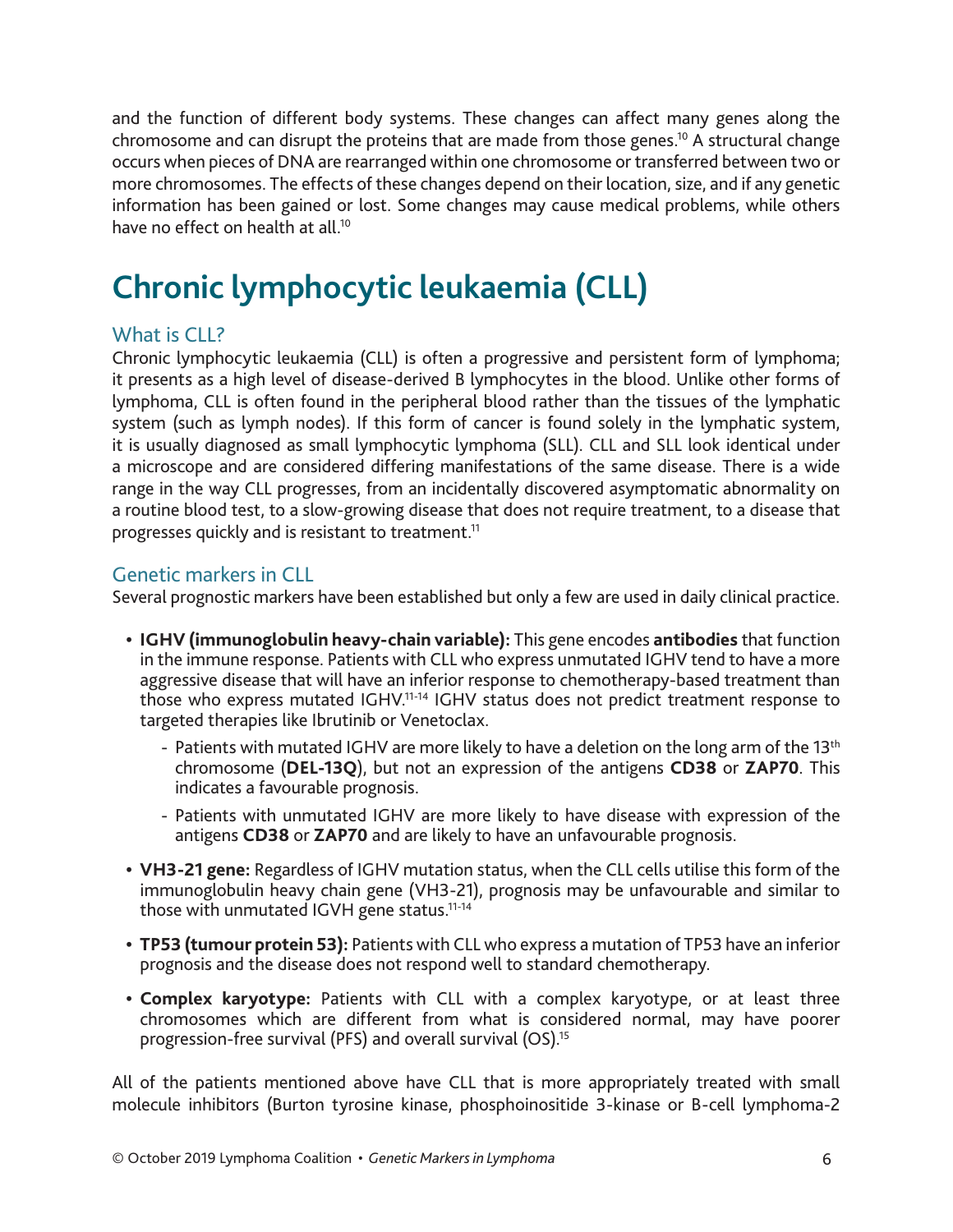and the function of different body systems. These changes can affect many genes along the chromosome and can disrupt the proteins that are made from those genes.<sup>10</sup> A structural change occurs when pieces of DNA are rearranged within one chromosome or transferred between two or more chromosomes. The effects of these changes depend on their location, size, and if any genetic information has been gained or lost. Some changes may cause medical problems, while others have no effect on health at all <sup>10</sup>

# **Chronic lymphocytic leukaemia (CLL)**

#### What is CLL?

Chronic lymphocytic leukaemia (CLL) is often a progressive and persistent form of lymphoma; it presents as a high level of disease-derived B lymphocytes in the blood. Unlike other forms of lymphoma, CLL is often found in the peripheral blood rather than the tissues of the lymphatic system (such as lymph nodes). If this form of cancer is found solely in the lymphatic system, it is usually diagnosed as small lymphocytic lymphoma (SLL). CLL and SLL look identical under a microscope and are considered differing manifestations of the same disease. There is a wide range in the way CLL progresses, from an incidentally discovered asymptomatic abnormality on a routine blood test, to a slow-growing disease that does not require treatment, to a disease that progresses quickly and is resistant to treatment.<sup>11</sup>

#### Genetic markers in CLL

Several prognostic markers have been established but only a few are used in daily clinical practice.

- **• IGHV (immunoglobulin heavy-chain variable):** This gene encodes **antibodies** that function in the immune response. Patients with CLL who express unmutated IGHV tend to have a more aggressive disease that will have an inferior response to chemotherapy-based treatment than those who express mutated IGHV.11-14 IGHV status does not predict treatment response to targeted therapies like Ibrutinib or Venetoclax.
	- Patients with mutated IGHV are more likely to have a deletion on the long arm of the 13<sup>th</sup> chromosome (**DEL-13Q**), but not an expression of the antigens **CD38** or **ZAP70**. This indicates a favourable prognosis.
	- Patients with unmutated IGHV are more likely to have disease with expression of the antigens **CD38** or **ZAP70** and are likely to have an unfavourable prognosis.
- **• VH3-21 gene:** Regardless of IGHV mutation status, when the CLL cells utilise this form of the immunoglobulin heavy chain gene (VH3-21), prognosis may be unfavourable and similar to those with unmutated IGVH gene status.<sup>11-14</sup>
- **• TP53 (tumour protein 53):** Patients with CLL who express a mutation of TP53 have an inferior prognosis and the disease does not respond well to standard chemotherapy.
- **• Complex karyotype:** Patients with CLL with a complex karyotype, or at least three chromosomes which are different from what is considered normal, may have poorer progression-free survival (PFS) and overall survival (OS).15

All of the patients mentioned above have CLL that is more appropriately treated with small molecule inhibitors (Burton tyrosine kinase, phosphoinositide 3-kinase or B-cell lymphoma-2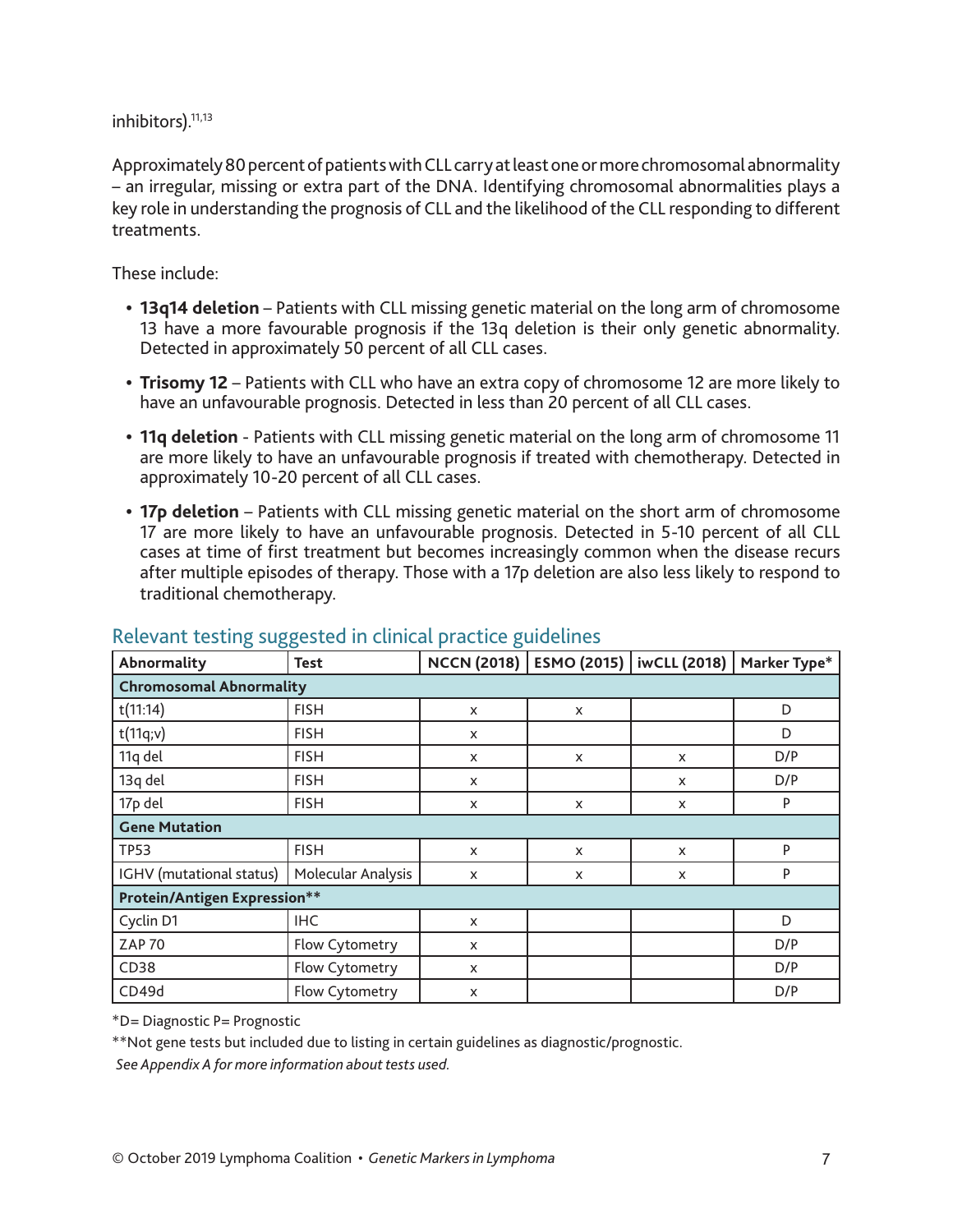inhibitors).<sup>11,13</sup>

Approximately 80 percent of patients with CLL carry at least one or more chromosomal abnormality – an irregular, missing or extra part of the DNA. Identifying chromosomal abnormalities plays a key role in understanding the prognosis of CLL and the likelihood of the CLL responding to different treatments.

These include:

- **• 13q14 deletion** Patients with CLL missing genetic material on the long arm of chromosome 13 have a more favourable prognosis if the 13q deletion is their only genetic abnormality. Detected in approximately 50 percent of all CLL cases.
- **• Trisomy 12** Patients with CLL who have an extra copy of chromosome 12 are more likely to have an unfavourable prognosis. Detected in less than 20 percent of all CLL cases.
- **• 11q deletion** Patients with CLL missing genetic material on the long arm of chromosome 11 are more likely to have an unfavourable prognosis if treated with chemotherapy. Detected in approximately 10-20 percent of all CLL cases.
- **• 17p deletion** Patients with CLL missing genetic material on the short arm of chromosome 17 are more likely to have an unfavourable prognosis. Detected in 5-10 percent of all CLL cases at time of first treatment but becomes increasingly common when the disease recurs after multiple episodes of therapy. Those with a 17p deletion are also less likely to respond to traditional chemotherapy.

| Abnormality<br><b>Test</b>          |                    | <b>NCCN (2018)</b> | <b>ESMO (2015)</b>   iwCLL (2018) |   | Marker Type* |  |  |
|-------------------------------------|--------------------|--------------------|-----------------------------------|---|--------------|--|--|
| <b>Chromosomal Abnormality</b>      |                    |                    |                                   |   |              |  |  |
| t(11:14)                            | <b>FISH</b>        | X                  | X                                 |   | D            |  |  |
| t(11q;v)                            | <b>FISH</b>        | X                  |                                   |   | D            |  |  |
| 11q del                             | <b>FISH</b>        | X                  | X                                 | X | D/P          |  |  |
| 13q del                             | <b>FISH</b>        | X                  |                                   | X | D/P          |  |  |
| 17p del<br><b>FISH</b>              |                    | X                  | X                                 | X | P            |  |  |
| <b>Gene Mutation</b>                |                    |                    |                                   |   |              |  |  |
| <b>TP53</b>                         | <b>FISH</b>        | X                  | $\boldsymbol{\mathsf{x}}$         | X | P            |  |  |
| IGHV (mutational status)            | Molecular Analysis | X                  | X                                 | X | P            |  |  |
| <b>Protein/Antigen Expression**</b> |                    |                    |                                   |   |              |  |  |
| Cyclin D1                           | <b>IHC</b>         | X                  |                                   |   | D            |  |  |
| <b>ZAP 70</b><br>Flow Cytometry     |                    | X                  |                                   |   | D/P          |  |  |
| CD38                                | Flow Cytometry     | X                  |                                   |   | D/P          |  |  |
| CD49d                               | Flow Cytometry     | X                  |                                   |   | D/P          |  |  |

#### Relevant testing suggested in clinical practice guidelines

\*D= Diagnostic P= Prognostic

\*\*Not gene tests but included due to listing in certain guidelines as diagnostic/prognostic.

*See Appendix A for more information about tests used.*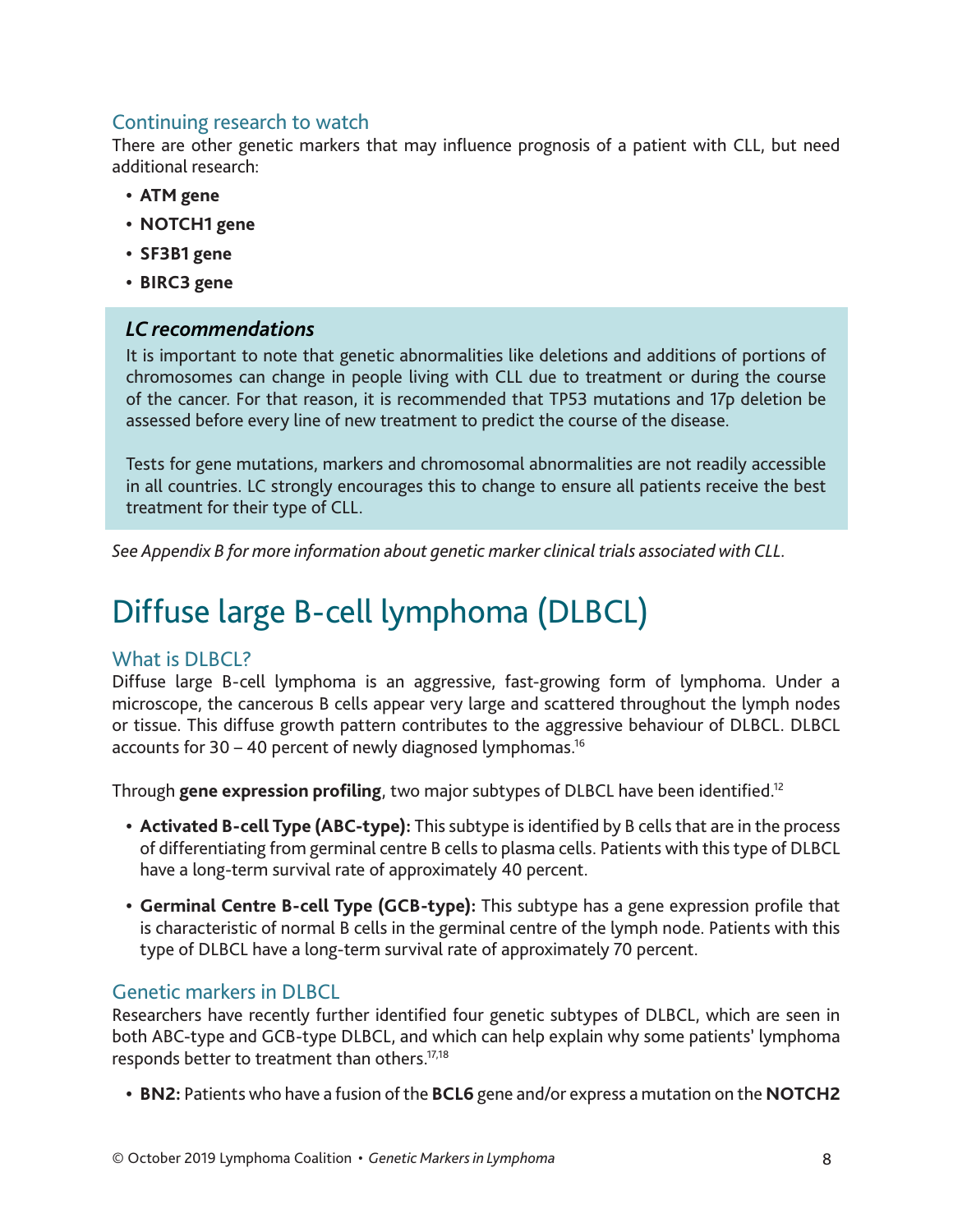#### Continuing research to watch

There are other genetic markers that may influence prognosis of a patient with CLL, but need additional research:

- **• ATM gene**
- **• NOTCH1 gene**
- **• SF3B1 gene**
- **• BIRC3 gene**

#### *LC recommendations*

It is important to note that genetic abnormalities like deletions and additions of portions of chromosomes can change in people living with CLL due to treatment or during the course of the cancer. For that reason, it is recommended that TP53 mutations and 17p deletion be assessed before every line of new treatment to predict the course of the disease.

Tests for gene mutations, markers and chromosomal abnormalities are not readily accessible in all countries. LC strongly encourages this to change to ensure all patients receive the best treatment for their type of CLL.

*See Appendix B for more information about genetic marker clinical trials associated with CLL.*

# Diffuse large B-cell lymphoma (DLBCL)

#### What is DLBCL?

Diffuse large B-cell lymphoma is an aggressive, fast-growing form of lymphoma. Under a microscope, the cancerous B cells appear very large and scattered throughout the lymph nodes or tissue. This diffuse growth pattern contributes to the aggressive behaviour of DLBCL. DLBCL accounts for  $30 - 40$  percent of newly diagnosed lymphomas.<sup>16</sup>

Through **gene expression profiling**, two major subtypes of DLBCL have been identified.12

- **• Activated B-cell Type (ABC-type):** This subtype is identified by B cells that are in the process of differentiating from germinal centre B cells to plasma cells. Patients with this type of DLBCL have a long-term survival rate of approximately 40 percent.
- **• Germinal Centre B-cell Type (GCB-type):** This subtype has a gene expression profile that is characteristic of normal B cells in the germinal centre of the lymph node. Patients with this type of DLBCL have a long-term survival rate of approximately 70 percent.

#### Genetic markers in DLBCL

Researchers have recently further identified four genetic subtypes of DLBCL, which are seen in both ABC-type and GCB-type DLBCL, and which can help explain why some patients' lymphoma responds better to treatment than others.17,18

**• BN2:** Patients who have a fusion of the **BCL6** gene and/or express a mutation on the **NOTCH2**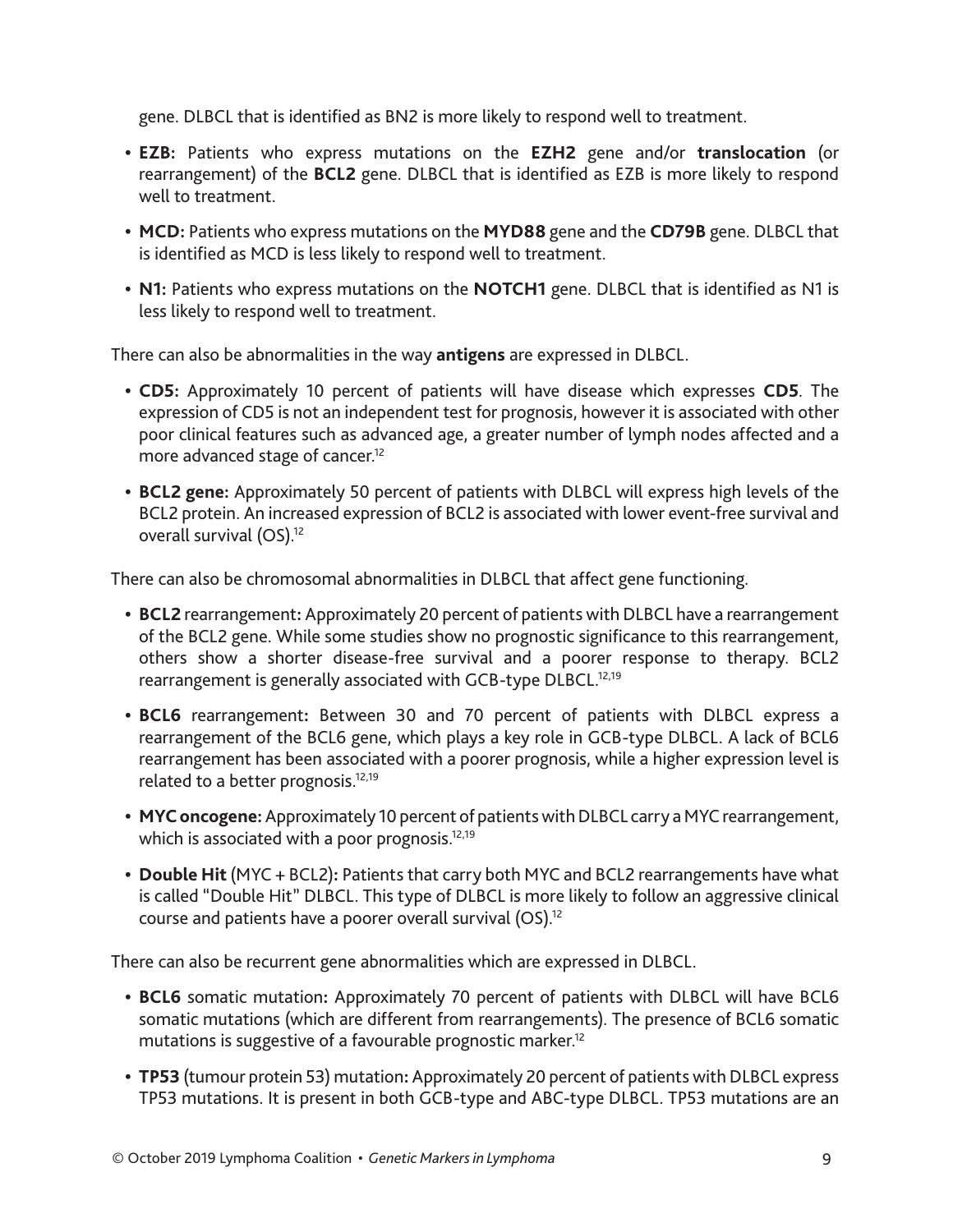gene. DLBCL that is identified as BN2 is more likely to respond well to treatment.

- **• EZB:** Patients who express mutations on the **EZH2** gene and/or **translocation** (or rearrangement) of the **BCL2** gene. DLBCL that is identified as EZB is more likely to respond well to treatment.
- **• MCD:** Patients who express mutations on the **MYD88** gene and the **CD79B** gene. DLBCL that is identified as MCD is less likely to respond well to treatment.
- **• N1:** Patients who express mutations on the **NOTCH1** gene. DLBCL that is identified as N1 is less likely to respond well to treatment.

There can also be abnormalities in the way **antigens** are expressed in DLBCL.

- **• CD5:** Approximately 10 percent of patients will have disease which expresses **CD5**. The expression of CD5 is not an independent test for prognosis, however it is associated with other poor clinical features such as advanced age, a greater number of lymph nodes affected and a more advanced stage of cancer.<sup>12</sup>
- **• BCL2 gene:** Approximately 50 percent of patients with DLBCL will express high levels of the BCL2 protein. An increased expression of BCL2 is associated with lower event-free survival and overall survival (OS).12

There can also be chromosomal abnormalities in DLBCL that affect gene functioning.

- **• BCL2** rearrangement**:** Approximately 20 percent of patients with DLBCL have a rearrangement of the BCL2 gene. While some studies show no prognostic significance to this rearrangement, others show a shorter disease-free survival and a poorer response to therapy. BCL2 rearrangement is generally associated with GCB-type DLBCL.<sup>12,19</sup>
- **• BCL6** rearrangement**:** Between 30 and 70 percent of patients with DLBCL express a rearrangement of the BCL6 gene, which plays a key role in GCB-type DLBCL. A lack of BCL6 rearrangement has been associated with a poorer prognosis, while a higher expression level is related to a better prognosis.<sup>12,19</sup>
- **• MYC oncogene:** Approximately 10 percent of patients with DLBCL carry a MYC rearrangement, which is associated with a poor prognosis.<sup>12,19</sup>
- **• Double Hit** (MYC + BCL2)**:** Patients that carry both MYC and BCL2 rearrangements have what is called "Double Hit" DLBCL. This type of DLBCL is more likely to follow an aggressive clinical course and patients have a poorer overall survival (OS).12

There can also be recurrent gene abnormalities which are expressed in DLBCL.

- **• BCL6** somatic mutation**:** Approximately 70 percent of patients with DLBCL will have BCL6 somatic mutations (which are different from rearrangements). The presence of BCL6 somatic mutations is suggestive of a favourable prognostic marker.<sup>12</sup>
- **• TP53** (tumour protein 53) mutation**:** Approximately 20 percent of patients with DLBCL express TP53 mutations. It is present in both GCB-type and ABC-type DLBCL. TP53 mutations are an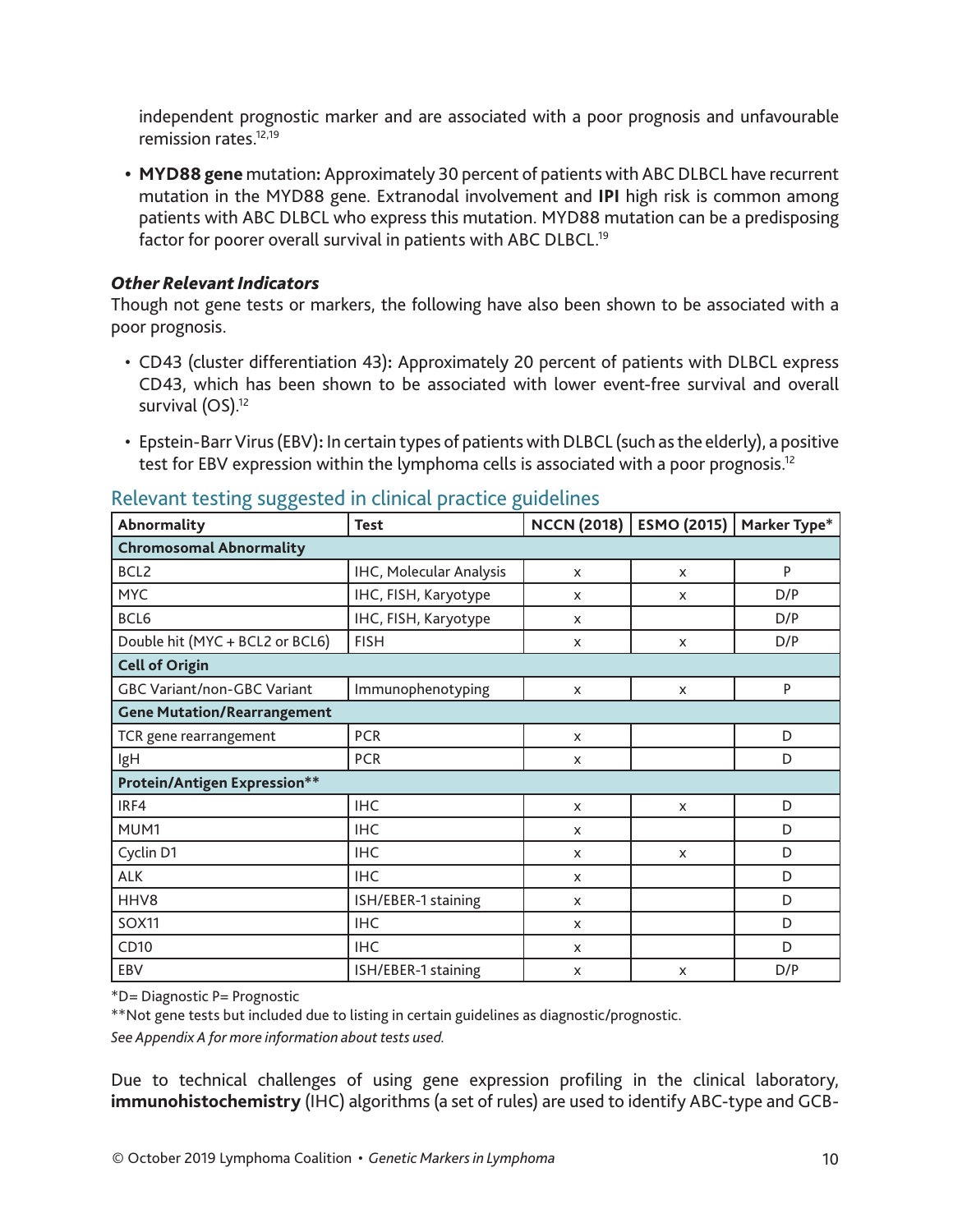independent prognostic marker and are associated with a poor prognosis and unfavourable remission rates.12,19

**• MYD88 gene** mutation**:** Approximately 30 percent of patients with ABC DLBCL have recurrent mutation in the MYD88 gene. Extranodal involvement and **IPI** high risk is common among patients with ABC DLBCL who express this mutation. MYD88 mutation can be a predisposing factor for poorer overall survival in patients with ABC DLBCL.<sup>19</sup>

#### *Other Relevant Indicators*

Though not gene tests or markers, the following have also been shown to be associated with a poor prognosis.

- CD43 (cluster differentiation 43)**:** Approximately 20 percent of patients with DLBCL express CD43, which has been shown to be associated with lower event-free survival and overall survival (OS).<sup>12</sup>
- Epstein-Barr Virus (EBV)**:** In certain types of patients with DLBCL (such as the elderly), a positive test for EBV expression within the lymphoma cells is associated with a poor prognosis.<sup>12</sup>

| Abnormality<br><b>Test</b>         |                         |                           | NCCN (2018)   ESMO (2015)   Marker Type* |     |
|------------------------------------|-------------------------|---------------------------|------------------------------------------|-----|
| <b>Chromosomal Abnormality</b>     |                         |                           |                                          |     |
| BCL <sub>2</sub>                   | IHC, Molecular Analysis | X                         | X                                        | P   |
| <b>MYC</b>                         | IHC, FISH, Karyotype    | X                         | X                                        | D/P |
| BCL6                               | IHC, FISH, Karyotype    | X                         |                                          | D/P |
| Double hit (MYC + BCL2 or BCL6)    | <b>FISH</b>             | X                         | X                                        | D/P |
| <b>Cell of Origin</b>              |                         |                           |                                          |     |
| <b>GBC Variant/non-GBC Variant</b> | Immunophenotyping       | X                         | X                                        | P   |
| <b>Gene Mutation/Rearrangement</b> |                         |                           |                                          |     |
| TCR gene rearrangement             | <b>PCR</b>              | $\boldsymbol{\mathsf{x}}$ |                                          | D   |
| IgH                                | <b>PCR</b>              | X                         |                                          | D   |
| Protein/Antigen Expression**       |                         |                           |                                          |     |
| IRF4                               | <b>IHC</b>              | $\boldsymbol{\mathsf{x}}$ | X                                        | D   |
| MUM1                               | <b>IHC</b>              | X                         |                                          | D   |
| Cyclin D1                          | <b>IHC</b>              | X                         | X                                        | D   |
| ALK                                | <b>IHC</b>              | X                         |                                          | D   |
| HHV8                               | ISH/EBER-1 staining     | X                         |                                          | D   |
| <b>SOX11</b><br><b>IHC</b>         |                         | X                         |                                          | D   |
| CD10<br><b>IHC</b>                 |                         | X                         |                                          | D   |
| EBV                                | ISH/EBER-1 staining     | X                         | X                                        | D/P |

#### Relevant testing suggested in clinical practice guidelines

\*D= Diagnostic P= Prognostic

\*\*Not gene tests but included due to listing in certain guidelines as diagnostic/prognostic.

*See Appendix A for more information about tests used.*

Due to technical challenges of using gene expression profiling in the clinical laboratory, **immunohistochemistry** (IHC) algorithms (a set of rules) are used to identify ABC-type and GCB-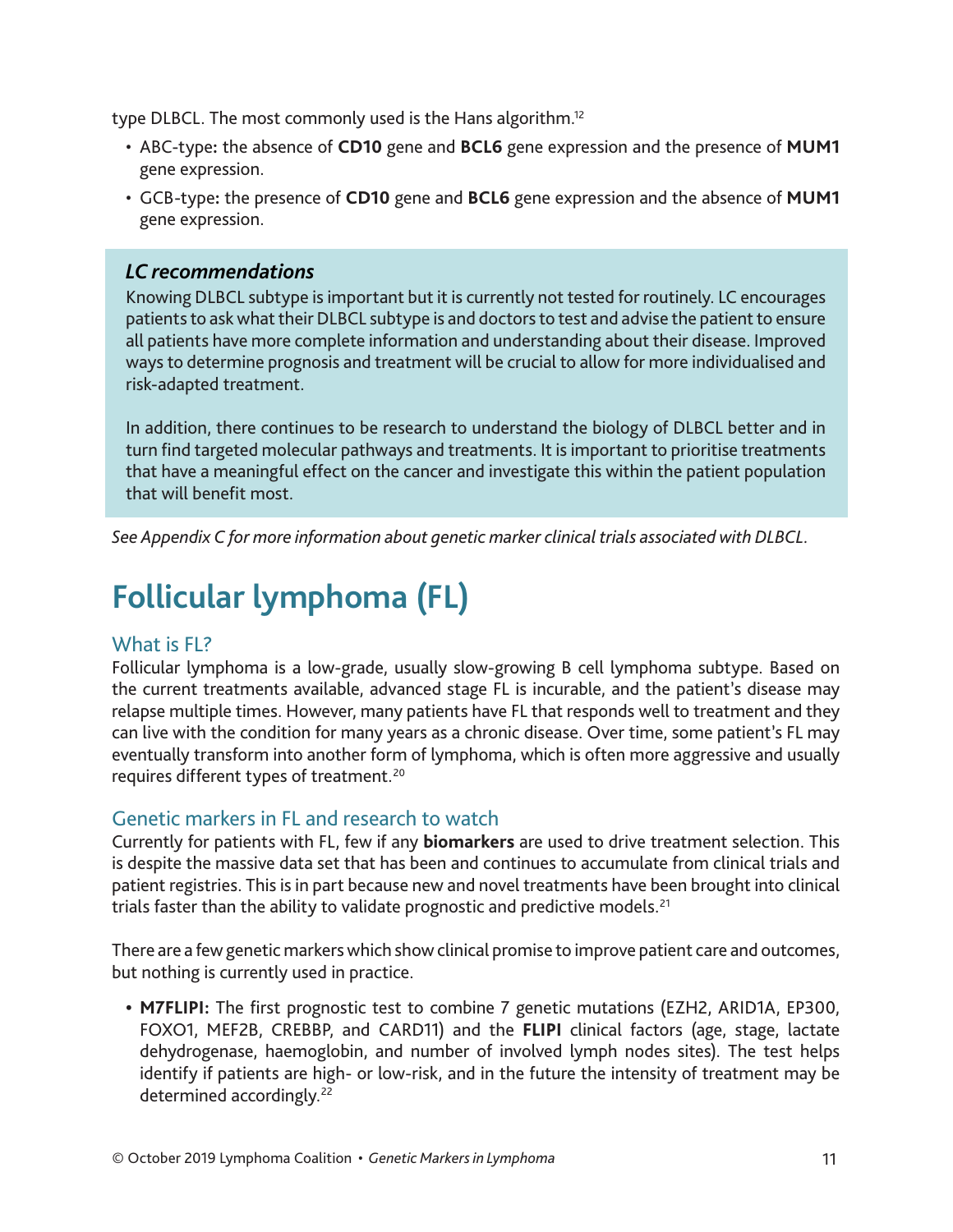type DLBCL. The most commonly used is the Hans algorithm.12

- ABC-type**:** the absence of **CD10** gene and **BCL6** gene expression and the presence of **MUM1**  gene expression.
- GCB-type**:** the presence of **CD10** gene and **BCL6** gene expression and the absence of **MUM1**  gene expression.

#### *LC recommendations*

Knowing DLBCL subtype is important but it is currently not tested for routinely. LC encourages patients to ask what their DLBCL subtype is and doctors to test and advise the patient to ensure all patients have more complete information and understanding about their disease. Improved ways to determine prognosis and treatment will be crucial to allow for more individualised and risk-adapted treatment.

In addition, there continues to be research to understand the biology of DLBCL better and in turn find targeted molecular pathways and treatments. It is important to prioritise treatments that have a meaningful effect on the cancer and investigate this within the patient population that will benefit most.

*See Appendix C for more information about genetic marker clinical trials associated with DLBCL.*

# **Follicular lymphoma (FL)**

#### What is **FL?**

Follicular lymphoma is a low-grade, usually slow-growing B cell lymphoma subtype. Based on the current treatments available, advanced stage FL is incurable, and the patient's disease may relapse multiple times. However, many patients have FL that responds well to treatment and they can live with the condition for many years as a chronic disease. Over time, some patient's FL may eventually transform into another form of lymphoma, which is often more aggressive and usually requires different types of treatment.<sup>20</sup>

#### Genetic markers in FL and research to watch

Currently for patients with FL, few if any **biomarkers** are used to drive treatment selection. This is despite the massive data set that has been and continues to accumulate from clinical trials and patient registries. This is in part because new and novel treatments have been brought into clinical trials faster than the ability to validate prognostic and predictive models.<sup>21</sup>

There are a few genetic markers which show clinical promise to improve patient care and outcomes, but nothing is currently used in practice.

**• M7FLIPI:** The first prognostic test to combine 7 genetic mutations (EZH2, ARID1A, EP300, FOXO1, MEF2B, CREBBP, and CARD11) and the **FLIPI** clinical factors (age, stage, lactate dehydrogenase, haemoglobin, and number of involved lymph nodes sites). The test helps identify if patients are high- or low-risk, and in the future the intensity of treatment may be determined accordingly.<sup>22</sup>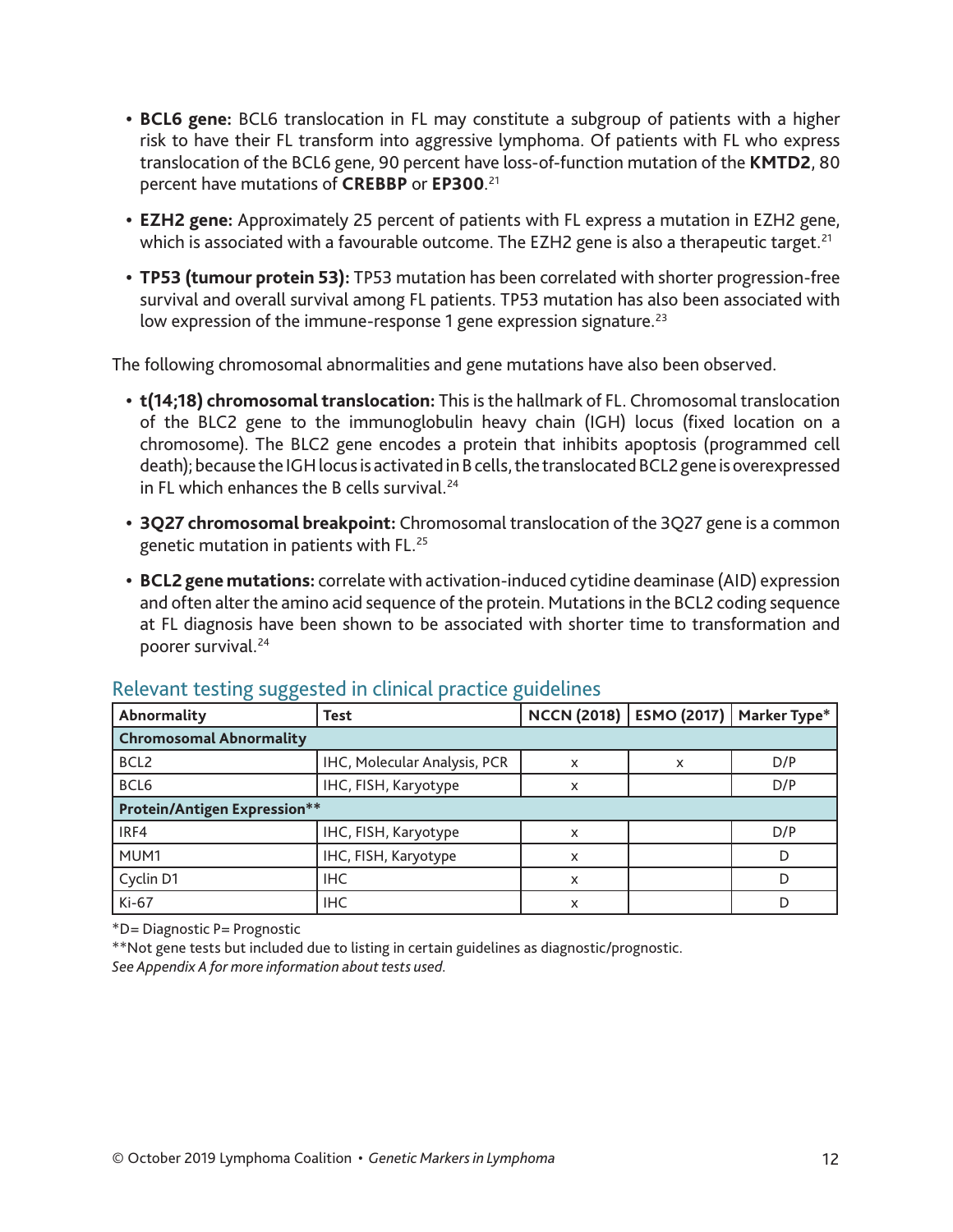- **• BCL6 gene:** BCL6 translocation in FL may constitute a subgroup of patients with a higher risk to have their FL transform into aggressive lymphoma. Of patients with FL who express translocation of the BCL6 gene, 90 percent have loss-of-function mutation of the **KMTD2**, 80 percent have mutations of **CREBBP** or **EP300**. 21
- **• EZH2 gene:** Approximately 25 percent of patients with FL express a mutation in EZH2 gene, which is associated with a favourable outcome. The EZH2 gene is also a therapeutic target.<sup>21</sup>
- **• TP53 (tumour protein 53):** TP53 mutation has been correlated with shorter progression-free survival and overall survival among FL patients. TP53 mutation has also been associated with low expression of the immune-response 1 gene expression signature.<sup>23</sup>

The following chromosomal abnormalities and gene mutations have also been observed.

- **• t(14;18) chromosomal translocation:** This is the hallmark of FL. Chromosomal translocation of the BLC2 gene to the immunoglobulin heavy chain (IGH) locus (fixed location on a chromosome). The BLC2 gene encodes a protein that inhibits apoptosis (programmed cell death); because the IGH locus is activated in B cells, the translocated BCL2 gene is overexpressed in FL which enhances the B cells survival.<sup>24</sup>
- **• 3Q27 chromosomal breakpoint:** Chromosomal translocation of the 3Q27 gene is a common genetic mutation in patients with FL.25
- **• BCL2 gene mutations:** correlate with activation-induced cytidine deaminase (AID) expression and often alter the amino acid sequence of the protein. Mutations in the BCL2 coding sequence at FL diagnosis have been shown to be associated with shorter time to transformation and poorer survival.24

| Abnormality                         | Test                         | NCCN (2018)               |   | ESMO (2017)   Marker Type* |  |  |
|-------------------------------------|------------------------------|---------------------------|---|----------------------------|--|--|
| <b>Chromosomal Abnormality</b>      |                              |                           |   |                            |  |  |
| BCL <sub>2</sub>                    | IHC, Molecular Analysis, PCR | $\boldsymbol{\mathsf{x}}$ | X | D/P                        |  |  |
| BCL6                                | IHC, FISH, Karyotype         | X                         |   | D/P                        |  |  |
| <b>Protein/Antigen Expression**</b> |                              |                           |   |                            |  |  |
| IRF4<br>IHC, FISH, Karyotype        |                              | x                         |   | D/P                        |  |  |
| MUM1                                | IHC, FISH, Karyotype         | x                         |   |                            |  |  |
| Cyclin D1                           | <b>IHC</b>                   | x                         |   |                            |  |  |
| Ki-67                               | <b>IHC</b>                   | X                         |   |                            |  |  |

#### Relevant testing suggested in clinical practice guidelines

\*D= Diagnostic P= Prognostic

\*\*Not gene tests but included due to listing in certain guidelines as diagnostic/prognostic. *See Appendix A for more information about tests used*.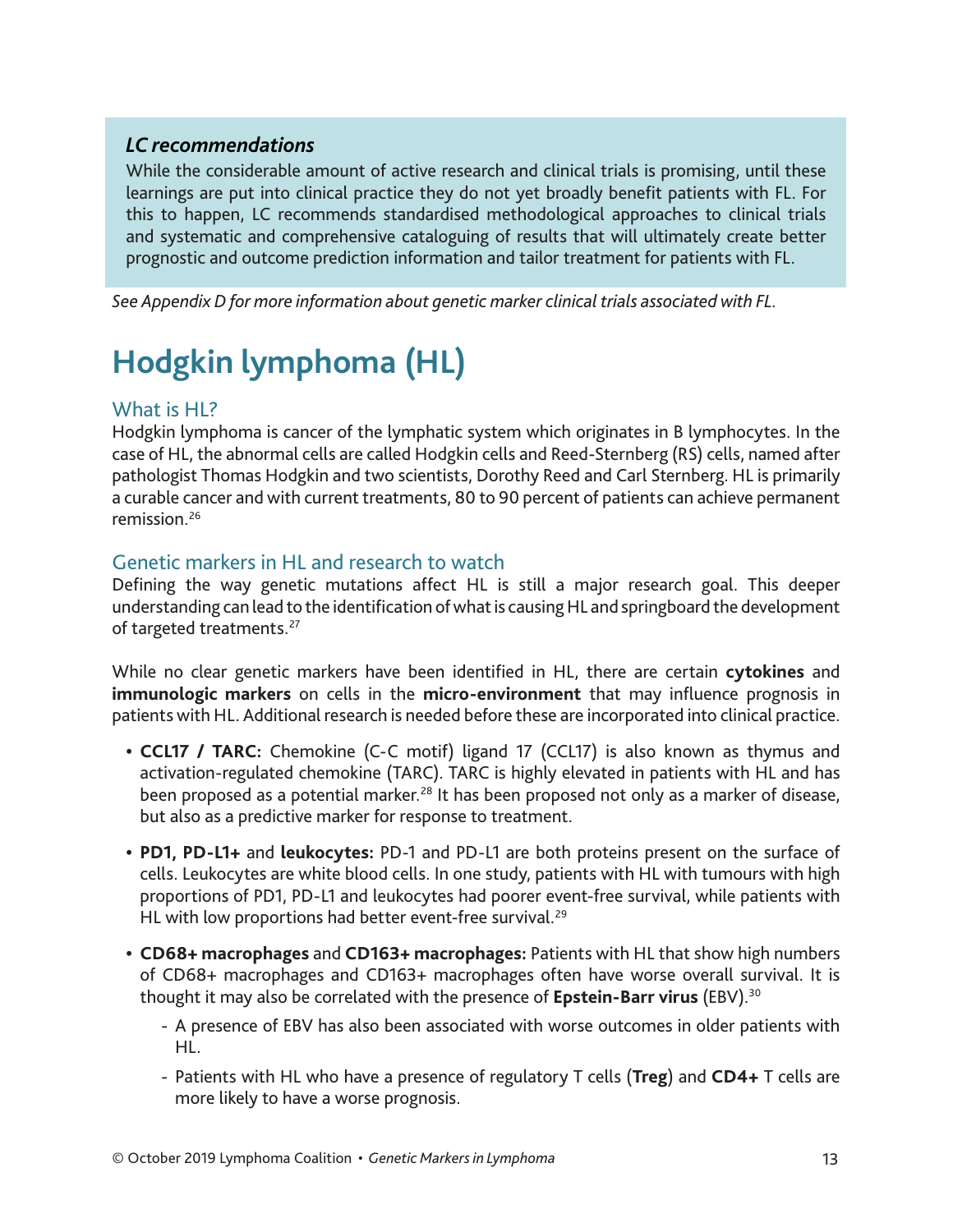#### *LC recommendations*

While the considerable amount of active research and clinical trials is promising, until these learnings are put into clinical practice they do not yet broadly benefit patients with FL. For this to happen, LC recommends standardised methodological approaches to clinical trials and systematic and comprehensive cataloguing of results that will ultimately create better prognostic and outcome prediction information and tailor treatment for patients with FL.

*See Appendix D for more information about genetic marker clinical trials associated with FL.*

# **Hodgkin lymphoma (HL)**

#### What is HL?

Hodgkin lymphoma is cancer of the lymphatic system which originates in B lymphocytes. In the case of HL, the abnormal cells are called Hodgkin cells and Reed-Sternberg (RS) cells, named after pathologist Thomas Hodgkin and two scientists, Dorothy Reed and Carl Sternberg. HL is primarily a curable cancer and with current treatments, 80 to 90 percent of patients can achieve permanent remission.26

#### Genetic markers in HL and research to watch

Defining the way genetic mutations affect HL is still a major research goal. This deeper understanding can lead to the identification of what is causing HL and springboard the development of targeted treatments.<sup>27</sup>

While no clear genetic markers have been identified in HL, there are certain **cytokines** and **immunologic markers** on cells in the **micro-environment** that may influence prognosis in patients with HL. Additional research is needed before these are incorporated into clinical practice.

- **• CCL17 / TARC:** Chemokine (C-C motif) ligand 17 (CCL17) is also known as thymus and activation-regulated chemokine (TARC). TARC is highly elevated in patients with HL and has been proposed as a potential marker.<sup>28</sup> It has been proposed not only as a marker of disease, but also as a predictive marker for response to treatment.
- **• PD1, PD-L1+** and **leukocytes:** PD-1 and PD-L1 are both proteins present on the surface of cells. Leukocytes are white blood cells. In one study, patients with HL with tumours with high proportions of PD1, PD-L1 and leukocytes had poorer event-free survival, while patients with HL with low proportions had better event-free survival.<sup>29</sup>
- **• CD68+ macrophages** and **CD163+ macrophages:** Patients with HL that show high numbers of CD68+ macrophages and CD163+ macrophages often have worse overall survival. It is thought it may also be correlated with the presence of **Epstein-Barr virus** (EBV).30
	- A presence of EBV has also been associated with worse outcomes in older patients with HL.
	- Patients with HL who have a presence of regulatory T cells (**Treg**) and **CD4+** T cells are more likely to have a worse prognosis.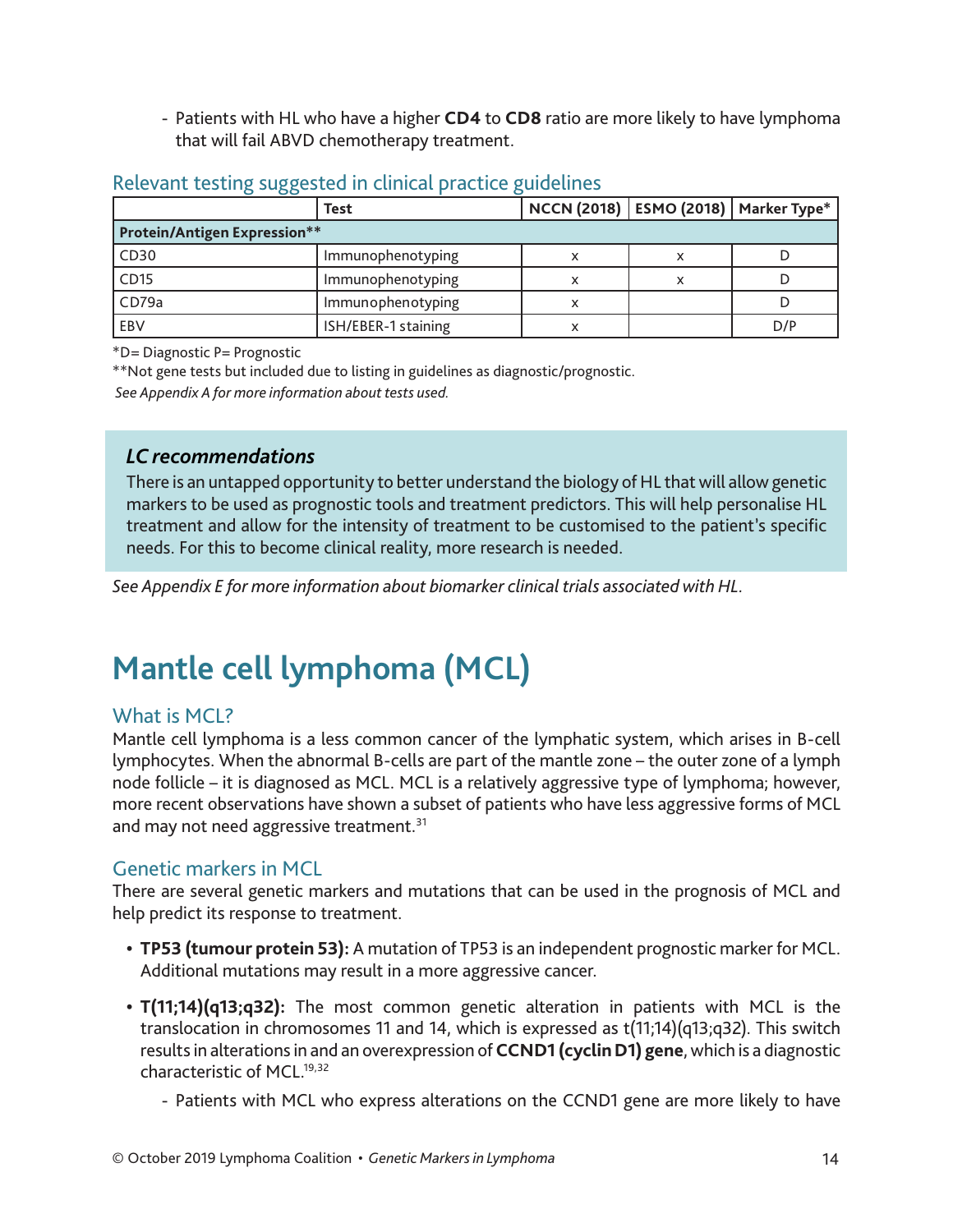- Patients with HL who have a higher **CD4** to **CD8** ratio are more likely to have lymphoma that will fail ABVD chemotherapy treatment.

|                                     | <b>Test</b>         | NCCN (2018)   ESMO (2018)   Marker Type* |   |     |
|-------------------------------------|---------------------|------------------------------------------|---|-----|
| <b>Protein/Antigen Expression**</b> |                     |                                          |   |     |
| CD30                                | Immunophenotyping   |                                          | x |     |
| CD15                                | Immunophenotyping   |                                          | x |     |
| CD79a                               | Immunophenotyping   |                                          |   |     |
| EBV                                 | ISH/EBER-1 staining |                                          |   | D/P |

#### Relevant testing suggested in clinical practice guidelines

\*D= Diagnostic P= Prognostic

\*\*Not gene tests but included due to listing in guidelines as diagnostic/prognostic.

 *See Appendix A for more information about tests used.*

#### *LC recommendations*

There is an untapped opportunity to better understand the biology of HL that will allow genetic markers to be used as prognostic tools and treatment predictors. This will help personalise HL treatment and allow for the intensity of treatment to be customised to the patient's specific needs. For this to become clinical reality, more research is needed.

*See Appendix E for more information about biomarker clinical trials associated with HL.*

# **Mantle cell lymphoma (MCL)**

#### What is MCL?

Mantle cell lymphoma is a less common cancer of the lymphatic system, which arises in B-cell lymphocytes. When the abnormal B-cells are part of the mantle zone – the outer zone of a lymph node follicle – it is diagnosed as MCL. MCL is a relatively aggressive type of lymphoma; however, more recent observations have shown a subset of patients who have less aggressive forms of MCL and may not need aggressive treatment.<sup>31</sup>

#### Genetic markers in MCL

There are several genetic markers and mutations that can be used in the prognosis of MCL and help predict its response to treatment.

- **• TP53 (tumour protein 53):** A mutation of TP53 is an independent prognostic marker for MCL. Additional mutations may result in a more aggressive cancer.
- **• T(11;14)(q13;q32):** The most common genetic alteration in patients with MCL is the translocation in chromosomes 11 and 14, which is expressed as t(11;14)(q13;q32). This switch results in alterations in and an overexpression of **CCND1 (cyclin D1) gene**, which is a diagnostic characteristic of MCL.19,32
	- Patients with MCL who express alterations on the CCND1 gene are more likely to have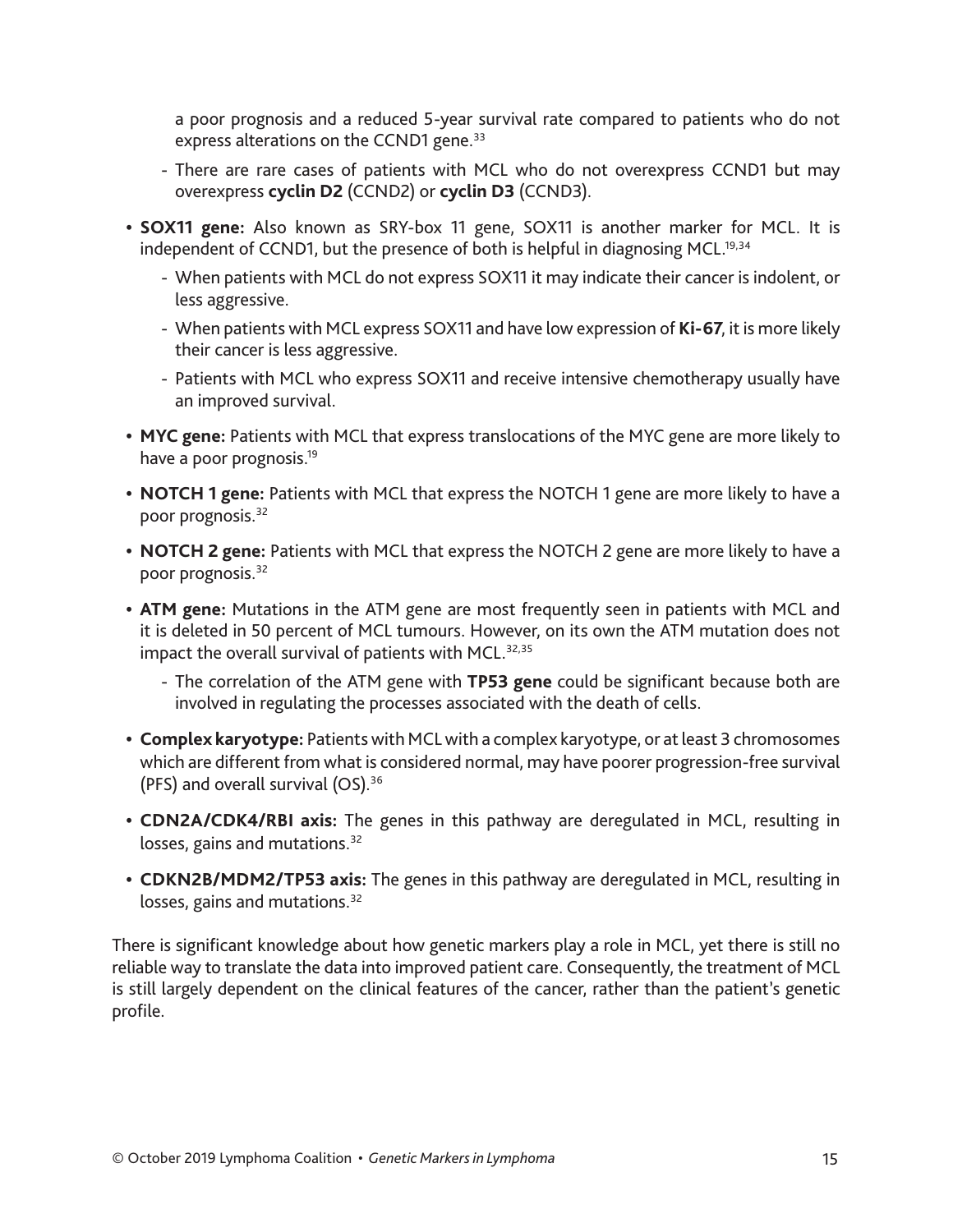a poor prognosis and a reduced 5-year survival rate compared to patients who do not express alterations on the CCND1 gene.<sup>33</sup>

- There are rare cases of patients with MCL who do not overexpress CCND1 but may overexpress **cyclin D2** (CCND2) or **cyclin D3** (CCND3).
- **• SOX11 gene:** Also known as SRY-box 11 gene, SOX11 is another marker for MCL. It is independent of CCND1, but the presence of both is helpful in diagnosing MCL.<sup>19,34</sup>
	- When patients with MCL do not express SOX11 it may indicate their cancer is indolent, or less aggressive.
	- When patients with MCL express SOX11 and have low expression of **Ki-67**, it is more likely their cancer is less aggressive.
	- Patients with MCL who express SOX11 and receive intensive chemotherapy usually have an improved survival.
- **• MYC gene:** Patients with MCL that express translocations of the MYC gene are more likely to have a poor prognosis.<sup>19</sup>
- **• NOTCH 1 gene:** Patients with MCL that express the NOTCH 1 gene are more likely to have a poor prognosis.<sup>32</sup>
- **• NOTCH 2 gene:** Patients with MCL that express the NOTCH 2 gene are more likely to have a poor prognosis.<sup>32</sup>
- **• ATM gene:** Mutations in the ATM gene are most frequently seen in patients with MCL and it is deleted in 50 percent of MCL tumours. However, on its own the ATM mutation does not impact the overall survival of patients with MCL.<sup>32,35</sup>
	- The correlation of the ATM gene with **TP53 gene** could be significant because both are involved in regulating the processes associated with the death of cells.
- **• Complex karyotype:** Patients with MCL with a complex karyotype, or at least 3 chromosomes which are different from what is considered normal, may have poorer progression-free survival (PFS) and overall survival (OS).36
- **• CDN2A/CDK4/RBI axis:** The genes in this pathway are deregulated in MCL, resulting in losses, gains and mutations.<sup>32</sup>
- **• CDKN2B/MDM2/TP53 axis:** The genes in this pathway are deregulated in MCL, resulting in losses, gains and mutations.<sup>32</sup>

There is significant knowledge about how genetic markers play a role in MCL, yet there is still no reliable way to translate the data into improved patient care. Consequently, the treatment of MCL is still largely dependent on the clinical features of the cancer, rather than the patient's genetic profile.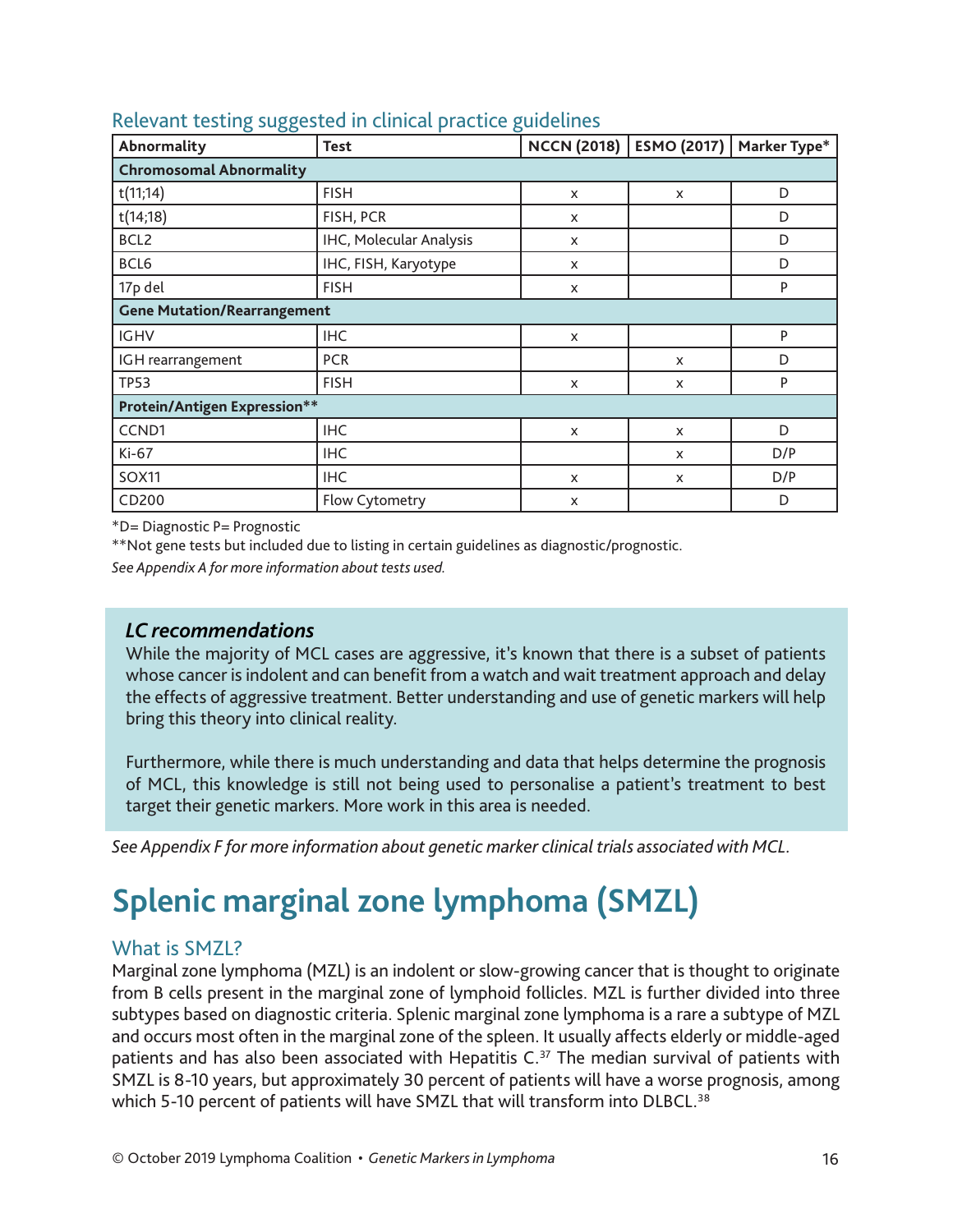| o<br>$\circ$<br>Abnormality         | o<br><b>Test</b>        | <b>NCCN (2018)</b>        | ESMO (2017)               | Marker Type* |  |  |
|-------------------------------------|-------------------------|---------------------------|---------------------------|--------------|--|--|
| <b>Chromosomal Abnormality</b>      |                         |                           |                           |              |  |  |
| t(11;14)                            | <b>FISH</b>             | X                         | X                         | D            |  |  |
| t(14;18)                            | FISH, PCR               | $\boldsymbol{\mathsf{x}}$ |                           | D            |  |  |
| BCL2                                | IHC, Molecular Analysis | X                         |                           | D            |  |  |
| BCL6                                | IHC, FISH, Karyotype    | X                         |                           | D            |  |  |
| 17p del<br><b>FISH</b>              |                         | X                         |                           | P            |  |  |
| <b>Gene Mutation/Rearrangement</b>  |                         |                           |                           |              |  |  |
| <b>IGHV</b>                         | <b>IHC</b>              | X                         |                           | P            |  |  |
| IGH rearrangement                   | <b>PCR</b>              |                           | X                         | D            |  |  |
| <b>TP53</b>                         | <b>FISH</b>             | X                         | X                         | P            |  |  |
| <b>Protein/Antigen Expression**</b> |                         |                           |                           |              |  |  |
| CCND1                               | <b>IHC</b>              | X                         | $\boldsymbol{\mathsf{x}}$ | D            |  |  |
| Ki-67                               | <b>IHC</b>              |                           | X                         | D/P          |  |  |
| <b>SOX11</b>                        | <b>IHC</b>              |                           | X                         | D/P          |  |  |
| CD200                               | <b>Flow Cytometry</b>   | X                         |                           | D            |  |  |

#### Relevant testing suggested in clinical practice guidelines

\*D= Diagnostic P= Prognostic

\*\*Not gene tests but included due to listing in certain guidelines as diagnostic/prognostic.

*See Appendix A for more information about tests used.*

#### *LC recommendations*

While the majority of MCL cases are aggressive, it's known that there is a subset of patients whose cancer is indolent and can benefit from a watch and wait treatment approach and delay the effects of aggressive treatment. Better understanding and use of genetic markers will help bring this theory into clinical reality.

Furthermore, while there is much understanding and data that helps determine the prognosis of MCL, this knowledge is still not being used to personalise a patient's treatment to best target their genetic markers. More work in this area is needed.

*See Appendix F for more information about genetic marker clinical trials associated with MCL.*

# **Splenic marginal zone lymphoma (SMZL)**

#### What is SMZL?

Marginal zone lymphoma (MZL) is an indolent or slow-growing cancer that is thought to originate from B cells present in the marginal zone of lymphoid follicles. MZL is further divided into three subtypes based on diagnostic criteria. Splenic marginal zone lymphoma is a rare a subtype of MZL and occurs most often in the marginal zone of the spleen. It usually affects elderly or middle-aged patients and has also been associated with Hepatitis  $C^{37}$  The median survival of patients with SMZL is 8-10 years, but approximately 30 percent of patients will have a worse prognosis, among which 5-10 percent of patients will have SMZL that will transform into DLBCL.<sup>38</sup>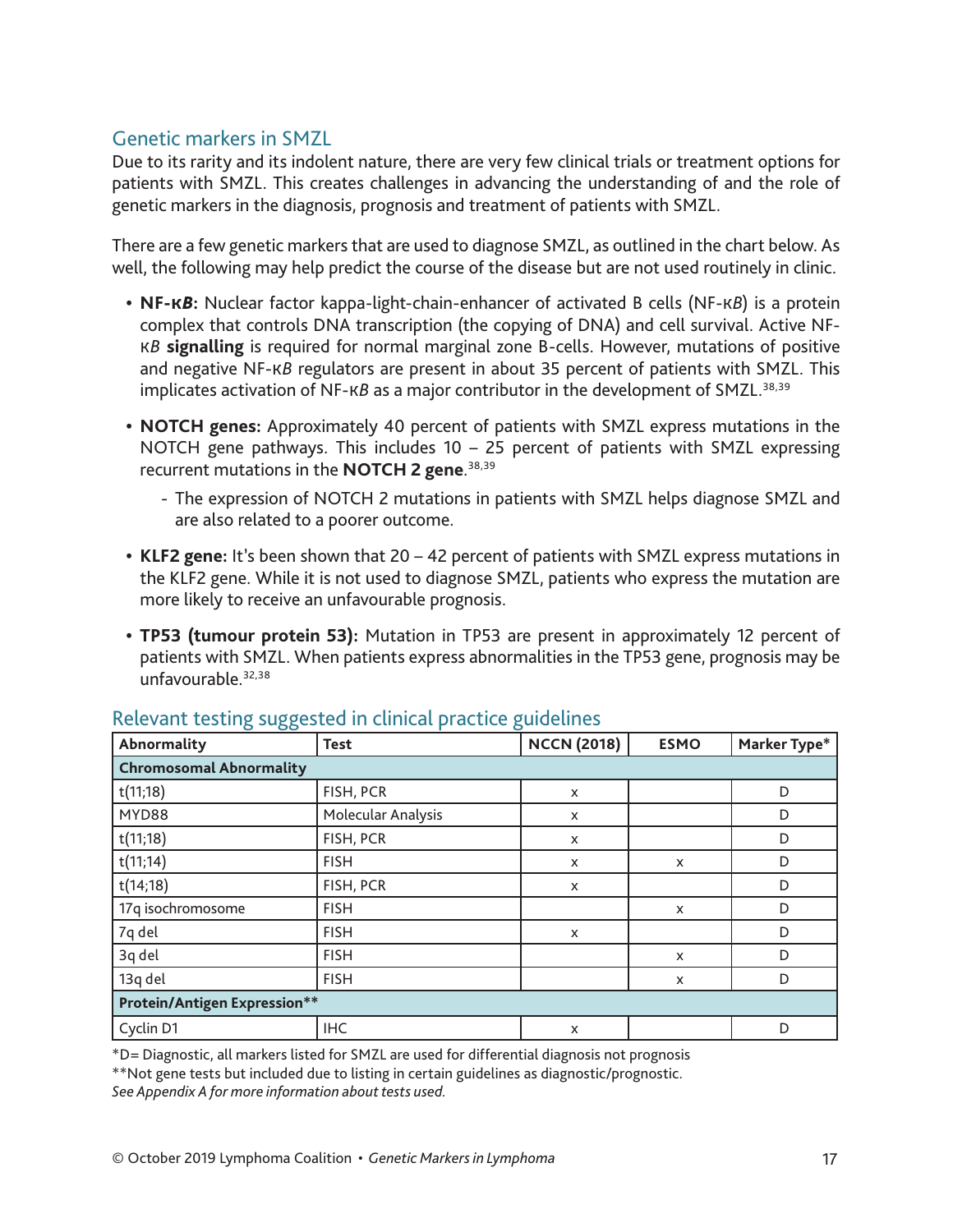#### Genetic markers in SMZL

Due to its rarity and its indolent nature, there are very few clinical trials or treatment options for patients with SMZL. This creates challenges in advancing the understanding of and the role of genetic markers in the diagnosis, prognosis and treatment of patients with SMZL.

There are a few genetic markers that are used to diagnose SMZL, as outlined in the chart below. As well, the following may help predict the course of the disease but are not used routinely in clinic.

- **• NF-К***В***:** Nuclear factor kappa-light-chain-enhancer of activated B cells (NF-К*В*) is a protein complex that controls DNA transcription (the copying of DNA) and cell survival. Active NF-К*В* **signalling** is required for normal marginal zone B-cells. However, mutations of positive and negative NF-К*В* regulators are present in about 35 percent of patients with SMZL. This implicates activation of NF-KB as a major contributor in the development of SMZL.<sup>38,39</sup>
- **• NOTCH genes:** Approximately 40 percent of patients with SMZL express mutations in the NOTCH gene pathways. This includes 10 – 25 percent of patients with SMZL expressing recurrent mutations in the **NOTCH 2 gene**. 38,39
	- The expression of NOTCH 2 mutations in patients with SMZL helps diagnose SMZL and are also related to a poorer outcome.
- **• KLF2 gene:** It's been shown that 20 42 percent of patients with SMZL express mutations in the KLF2 gene. While it is not used to diagnose SMZL, patients who express the mutation are more likely to receive an unfavourable prognosis.
- **• TP53 (tumour protein 53):** Mutation in TP53 are present in approximately 12 percent of patients with SMZL. When patients express abnormalities in the TP53 gene, prognosis may be unfavourable.32,38

| Abnormality                    | <b>Test</b>                         | <b>NCCN (2018)</b>        | <b>ESMO</b> | Marker Type* |  |  |
|--------------------------------|-------------------------------------|---------------------------|-------------|--------------|--|--|
| <b>Chromosomal Abnormality</b> |                                     |                           |             |              |  |  |
| t(11;18)                       | FISH, PCR                           | X                         |             | D            |  |  |
| MYD88                          | Molecular Analysis                  | X                         |             | D            |  |  |
| t(11;18)                       | FISH, PCR                           | X                         |             | D            |  |  |
| t(11;14)                       | <b>FISH</b>                         | X                         | X           | D            |  |  |
| t(14;18)                       | FISH, PCR                           | $\boldsymbol{\mathsf{x}}$ |             | D            |  |  |
| 17q isochromosome              | <b>FISH</b>                         |                           | X           | D            |  |  |
| 7q del                         | <b>FISH</b>                         | X                         |             | D            |  |  |
| 3q del                         | <b>FISH</b>                         |                           | X           | D            |  |  |
| 13q del                        | <b>FISH</b>                         |                           | X           | D            |  |  |
|                                | <b>Protein/Antigen Expression**</b> |                           |             |              |  |  |
| Cyclin D1                      | <b>IHC</b>                          | X                         |             | D            |  |  |

#### Relevant testing suggested in clinical practice guidelines

\*D= Diagnostic, all markers listed for SMZL are used for differential diagnosis not prognosis

\*\*Not gene tests but included due to listing in certain guidelines as diagnostic/prognostic. *See Appendix A for more information about tests used.*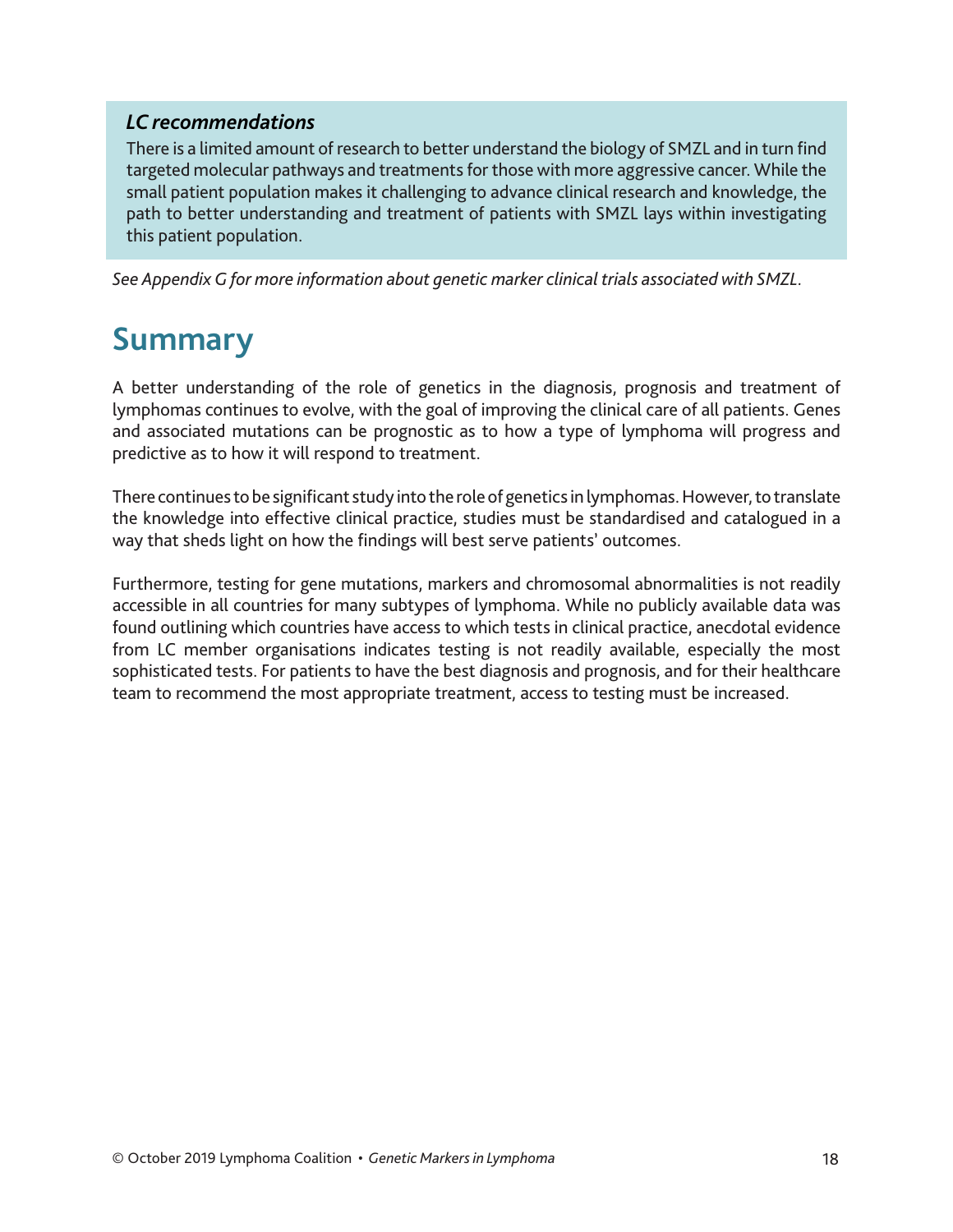#### *LC recommendations*

There is a limited amount of research to better understand the biology of SMZL and in turn find targeted molecular pathways and treatments for those with more aggressive cancer. While the small patient population makes it challenging to advance clinical research and knowledge, the path to better understanding and treatment of patients with SMZL lays within investigating this patient population.

*See Appendix G for more information about genetic marker clinical trials associated with SMZL.*

### **Summary**

A better understanding of the role of genetics in the diagnosis, prognosis and treatment of lymphomas continues to evolve, with the goal of improving the clinical care of all patients. Genes and associated mutations can be prognostic as to how a type of lymphoma will progress and predictive as to how it will respond to treatment.

There continues to be significant study into the role of genetics in lymphomas. However, to translate the knowledge into effective clinical practice, studies must be standardised and catalogued in a way that sheds light on how the findings will best serve patients' outcomes.

Furthermore, testing for gene mutations, markers and chromosomal abnormalities is not readily accessible in all countries for many subtypes of lymphoma. While no publicly available data was found outlining which countries have access to which tests in clinical practice, anecdotal evidence from LC member organisations indicates testing is not readily available, especially the most sophisticated tests. For patients to have the best diagnosis and prognosis, and for their healthcare team to recommend the most appropriate treatment, access to testing must be increased.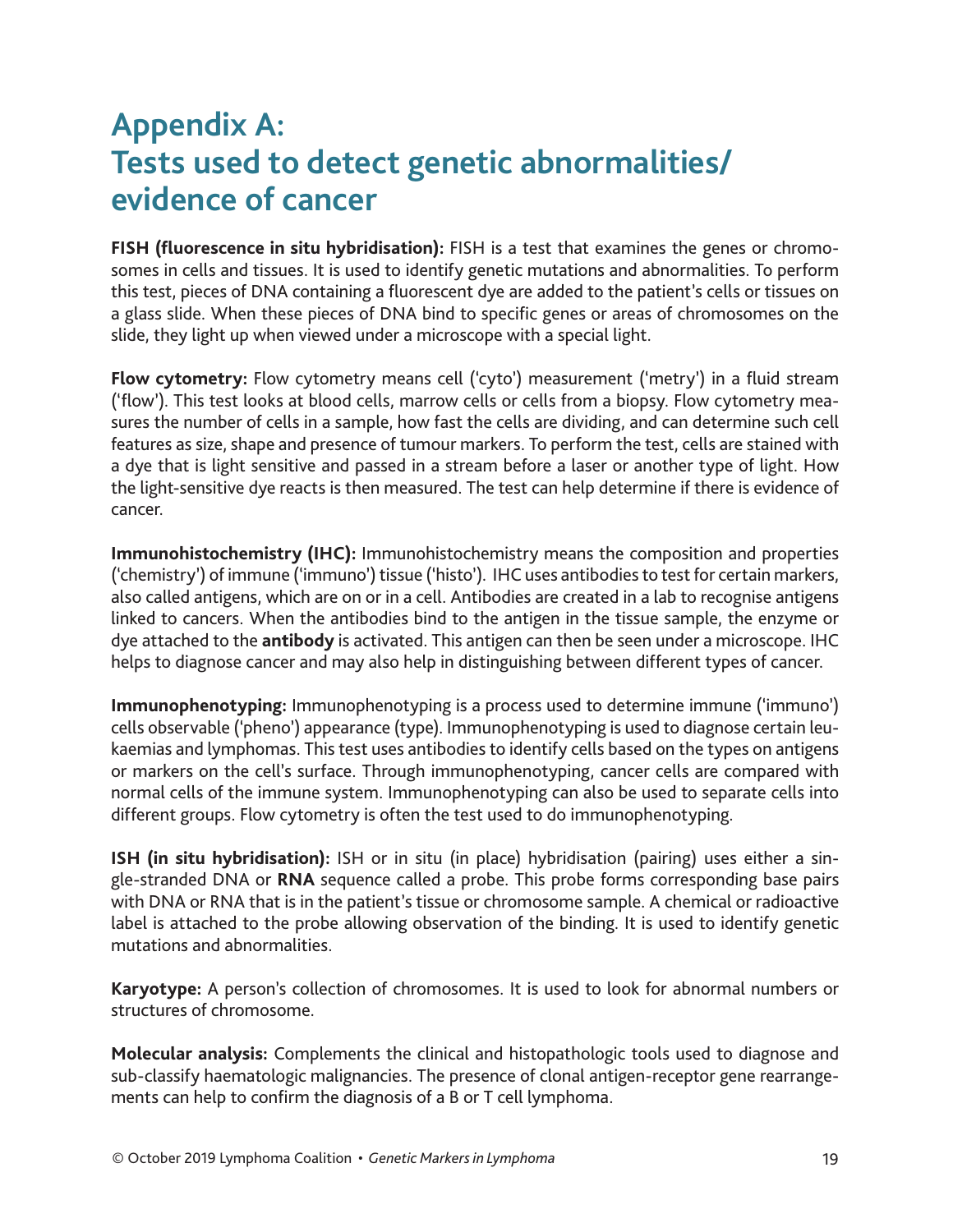### **Appendix A: Tests used to detect genetic abnormalities/ evidence of cancer**

**FISH (fluorescence in situ hybridisation):** FISH is a test that examines the genes or chromosomes in cells and tissues. It is used to identify genetic mutations and abnormalities. To perform this test, pieces of DNA containing a fluorescent dye are added to the patient's cells or tissues on a glass slide. When these pieces of DNA bind to specific genes or areas of chromosomes on the slide, they light up when viewed under a microscope with a special light.

**Flow cytometry:** Flow cytometry means cell ('cyto') measurement ('metry') in a fluid stream ('flow'). This test looks at blood cells, marrow cells or cells from a biopsy. Flow cytometry measures the number of cells in a sample, how fast the cells are dividing, and can determine such cell features as size, shape and presence of tumour markers. To perform the test, cells are stained with a dye that is light sensitive and passed in a stream before a laser or another type of light. How the light-sensitive dye reacts is then measured. The test can help determine if there is evidence of cancer.

**Immunohistochemistry (IHC):** Immunohistochemistry means the composition and properties ('chemistry') of immune ('immuno') tissue ('histo'). IHC uses antibodies to test for certain markers, also called antigens, which are on or in a cell. Antibodies are created in a lab to recognise antigens linked to cancers. When the antibodies bind to the antigen in the tissue sample, the enzyme or dye attached to the **antibody** is activated. This antigen can then be seen under a microscope. IHC helps to diagnose cancer and may also help in distinguishing between different types of cancer.

**Immunophenotyping:** Immunophenotyping is a process used to determine immune ('immuno') cells observable ('pheno') appearance (type). Immunophenotyping is used to diagnose certain leukaemias and lymphomas. This test uses antibodies to identify cells based on the types on antigens or markers on the cell's surface. Through immunophenotyping, cancer cells are compared with normal cells of the immune system. Immunophenotyping can also be used to separate cells into different groups. Flow cytometry is often the test used to do immunophenotyping.

**ISH (in situ hybridisation):** ISH or in situ (in place) hybridisation (pairing) uses either a single-stranded DNA or **RNA** sequence called a probe. This probe forms corresponding base pairs with DNA or RNA that is in the patient's tissue or chromosome sample. A chemical or radioactive label is attached to the probe allowing observation of the binding. It is used to identify genetic mutations and abnormalities.

**Karyotype:** A person's collection of chromosomes. It is used to look for abnormal numbers or structures of chromosome.

**Molecular analysis:** Complements the clinical and histopathologic tools used to diagnose and sub-classify haematologic malignancies. The presence of clonal antigen-receptor gene rearrangements can help to confirm the diagnosis of a B or T cell lymphoma.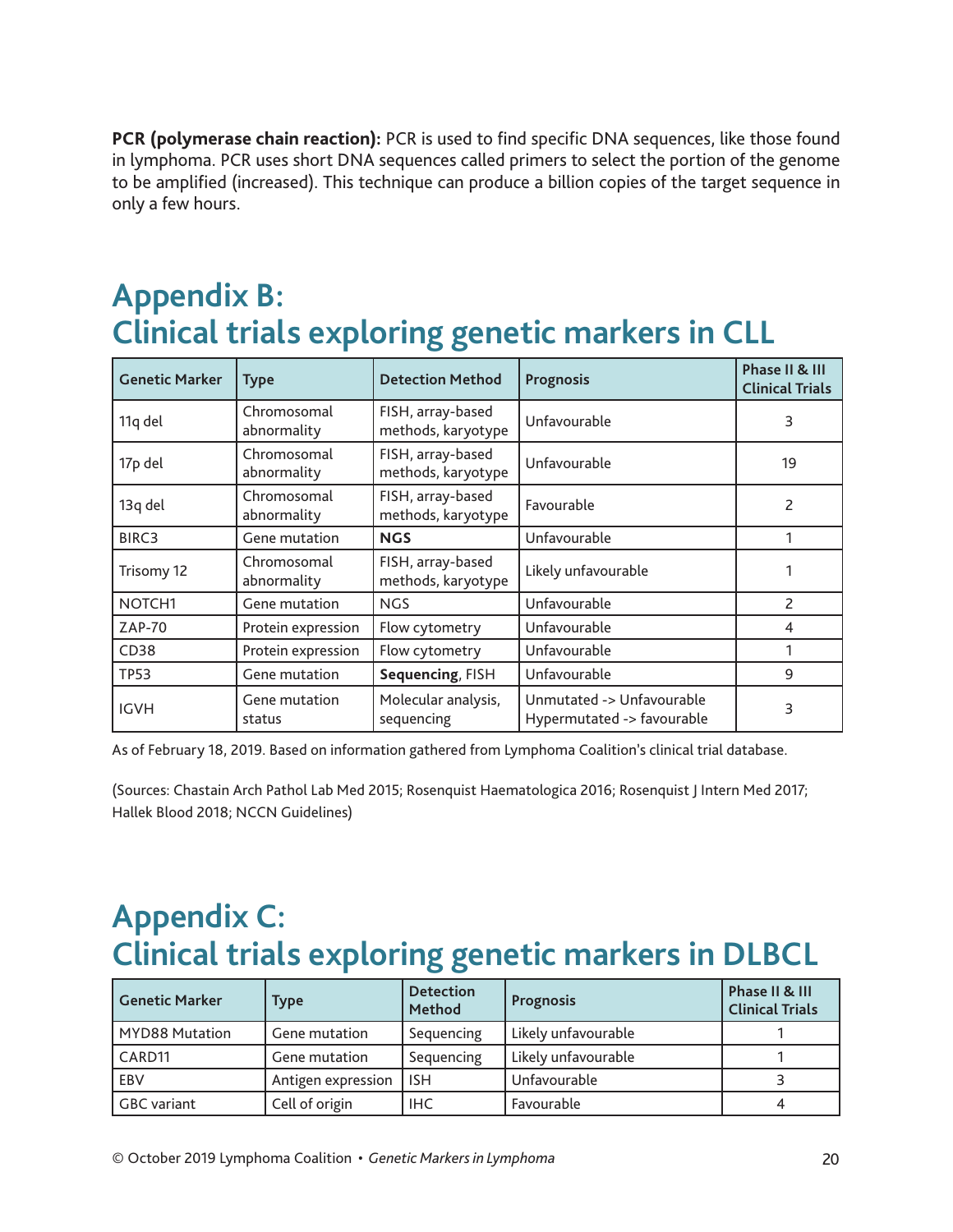**PCR (polymerase chain reaction):** PCR is used to find specific DNA sequences, like those found in lymphoma. PCR uses short DNA sequences called primers to select the portion of the genome to be amplified (increased). This technique can produce a billion copies of the target sequence in only a few hours.

### **Appendix B: Clinical trials exploring genetic markers in CLL**

| <b>Genetic Marker</b> | <b>Type</b>                | <b>Detection Method</b>                 | <b>Prognosis</b>                                        | Phase II & III<br><b>Clinical Trials</b> |
|-----------------------|----------------------------|-----------------------------------------|---------------------------------------------------------|------------------------------------------|
| 11q del               | Chromosomal<br>abnormality | FISH, array-based<br>methods, karyotype | Unfavourable                                            | 3                                        |
| 17p del               | Chromosomal<br>abnormality | FISH, array-based<br>methods, karyotype | Unfavourable                                            | 19                                       |
| 13q del               | Chromosomal<br>abnormality | FISH, array-based<br>methods, karyotype | Favourable                                              | 2                                        |
| BIRC3                 | Gene mutation              | <b>NGS</b>                              | Unfavourable                                            |                                          |
| Trisomy 12            | Chromosomal<br>abnormality | FISH, array-based<br>methods, karyotype | Likely unfavourable                                     |                                          |
| NOTCH <sub>1</sub>    | Gene mutation              | <b>NGS</b>                              | Unfavourable                                            | 2                                        |
| ZAP-70                | Protein expression         | Flow cytometry                          | Unfavourable                                            | 4                                        |
| CD38                  | Protein expression         | Flow cytometry                          | Unfavourable                                            |                                          |
| <b>TP53</b>           | Gene mutation              | Sequencing, FISH                        | Unfavourable                                            | 9                                        |
| <b>IGVH</b>           | Gene mutation<br>status    | Molecular analysis,<br>sequencing       | Unmutated -> Unfavourable<br>Hypermutated -> favourable | 3                                        |

As of February 18, 2019. Based on information gathered from Lymphoma Coalition's clinical trial database.

(Sources: Chastain Arch Pathol Lab Med 2015; Rosenquist Haematologica 2016; Rosenquist J Intern Med 2017; Hallek Blood 2018; NCCN Guidelines)

# **Appendix C: Clinical trials exploring genetic markers in DLBCL**

| <b>Genetic Marker</b> | Type               | <b>Detection</b><br><b>Method</b> | <b>Prognosis</b>    | Phase II & III<br><b>Clinical Trials</b> |
|-----------------------|--------------------|-----------------------------------|---------------------|------------------------------------------|
| <b>MYD88 Mutation</b> | Gene mutation      | Sequencing                        | Likely unfavourable |                                          |
| CARD11                | Gene mutation      | Sequencing                        | Likely unfavourable |                                          |
| EBV                   | Antigen expression | <b>ISH</b>                        | Unfavourable        |                                          |
| GBC variant           | Cell of origin     | IHC.                              | Favourable          |                                          |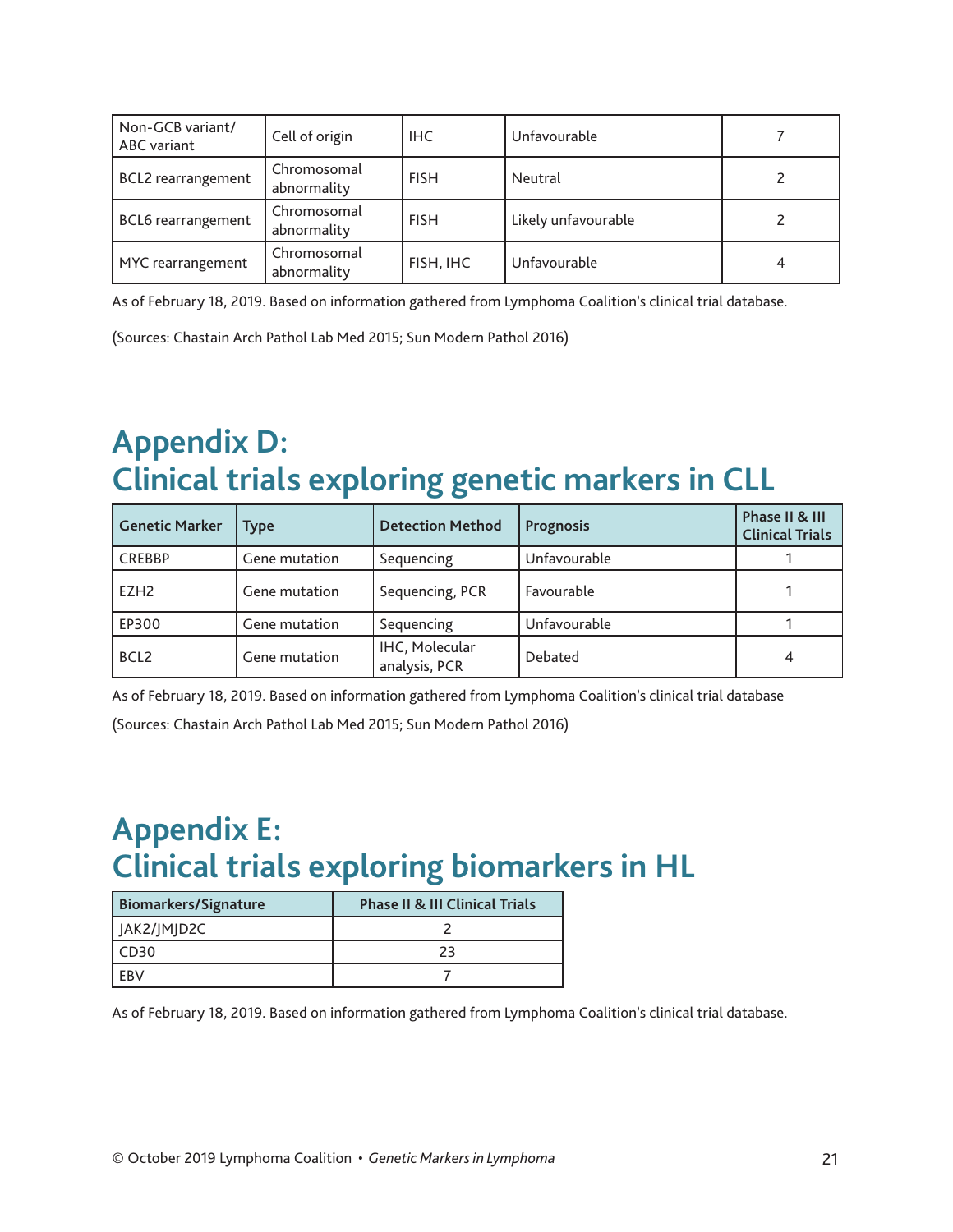| Non-GCB variant/<br>ABC variant | Cell of origin             | IHC.        | Unfavourable        |  |
|---------------------------------|----------------------------|-------------|---------------------|--|
| <b>BCL2</b> rearrangement       | Chromosomal<br>abnormality | <b>FISH</b> | Neutral             |  |
| <b>BCL6</b> rearrangement       | Chromosomal<br>abnormality | <b>FISH</b> | Likely unfavourable |  |
| MYC rearrangement               | Chromosomal<br>abnormality | FISH, IHC   | Unfavourable        |  |

As of February 18, 2019. Based on information gathered from Lymphoma Coalition's clinical trial database.

(Sources: Chastain Arch Pathol Lab Med 2015; Sun Modern Pathol 2016)

# **Appendix D: Clinical trials exploring genetic markers in CLL**

| <b>Genetic Marker</b> | <b>Type</b>   | <b>Detection Method</b>         | <b>Prognosis</b> | Phase II & III<br><b>Clinical Trials</b> |
|-----------------------|---------------|---------------------------------|------------------|------------------------------------------|
| <b>CREBBP</b>         | Gene mutation | Sequencing                      | Unfavourable     |                                          |
| EZH <sub>2</sub>      | Gene mutation | Sequencing, PCR                 | Favourable       |                                          |
| EP300                 | Gene mutation | Sequencing                      | Unfavourable     |                                          |
| BCL <sub>2</sub>      | Gene mutation | IHC, Molecular<br>analysis, PCR | Debated          |                                          |

As of February 18, 2019. Based on information gathered from Lymphoma Coalition's clinical trial database

(Sources: Chastain Arch Pathol Lab Med 2015; Sun Modern Pathol 2016)

# **Appendix E: Clinical trials exploring biomarkers in HL**

| <b>Biomarkers/Signature</b> | <b>Phase II &amp; III Clinical Trials</b> |  |  |
|-----------------------------|-------------------------------------------|--|--|
| JAK2/JMJD2C                 |                                           |  |  |
| CD <sub>30</sub>            | 23                                        |  |  |
|                             |                                           |  |  |

As of February 18, 2019. Based on information gathered from Lymphoma Coalition's clinical trial database.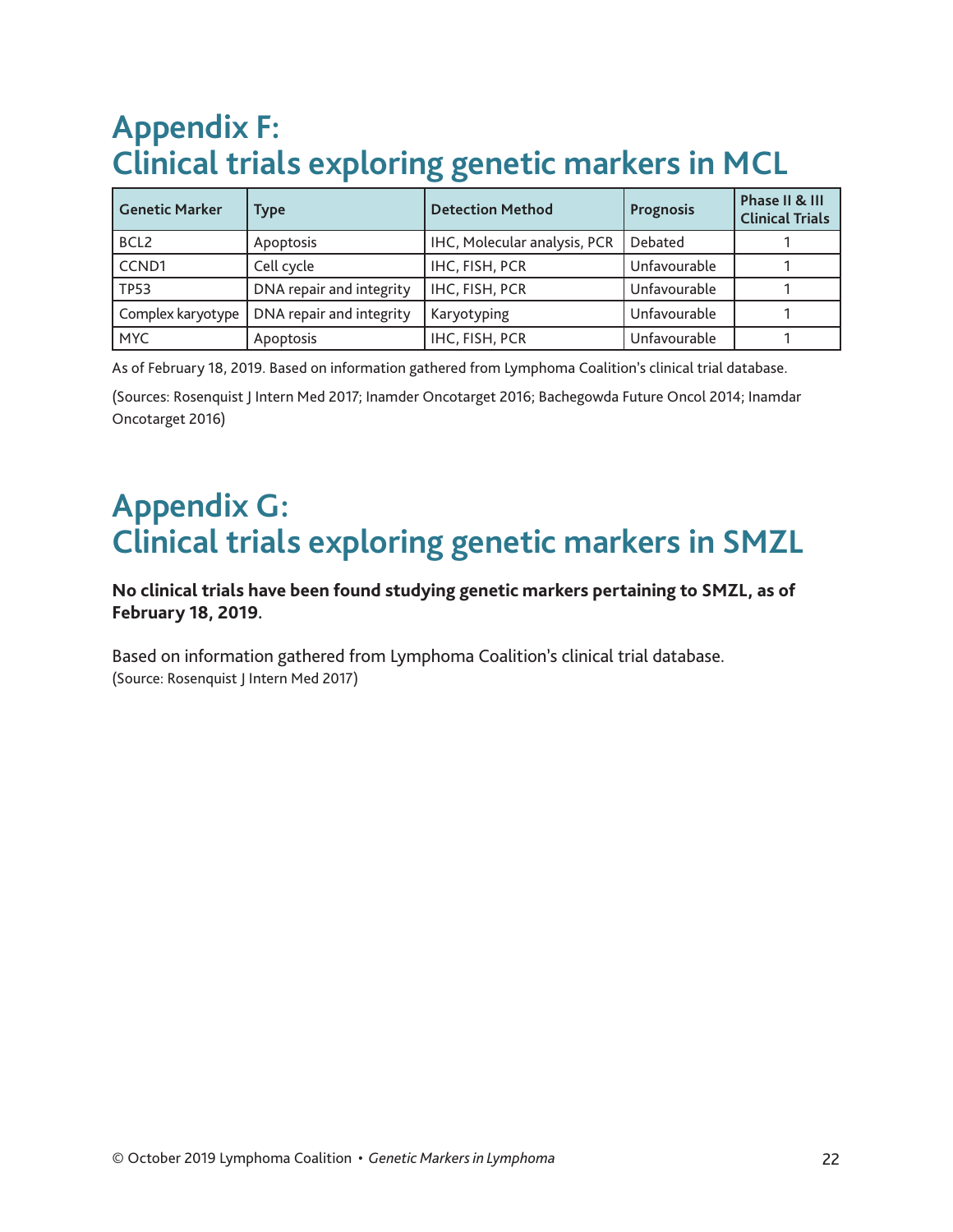# **Appendix F: Clinical trials exploring genetic markers in MCL**

| <b>Genetic Marker</b> | Type                     | <b>Detection Method</b>      | Prognosis    | Phase II & III<br><b>Clinical Trials</b> |
|-----------------------|--------------------------|------------------------------|--------------|------------------------------------------|
| BCL <sub>2</sub>      | Apoptosis                | IHC, Molecular analysis, PCR | Debated      |                                          |
| CCND1                 | Cell cycle               | IHC, FISH, PCR               | Unfavourable |                                          |
| <b>TP53</b>           | DNA repair and integrity | IHC, FISH, PCR               | Unfavourable |                                          |
| Complex karyotype I   | DNA repair and integrity | Karyotyping                  | Unfavourable |                                          |
| <b>MYC</b>            | Apoptosis                | IHC, FISH, PCR               | Unfavourable |                                          |

As of February 18, 2019. Based on information gathered from Lymphoma Coalition's clinical trial database.

(Sources: Rosenquist J Intern Med 2017; Inamder Oncotarget 2016; Bachegowda Future Oncol 2014; Inamdar Oncotarget 2016)

# **Appendix G: Clinical trials exploring genetic markers in SMZL**

#### **No clinical trials have been found studying genetic markers pertaining to SMZL, as of February 18, 2019.**

Based on information gathered from Lymphoma Coalition's clinical trial database. (Source: Rosenquist J Intern Med 2017)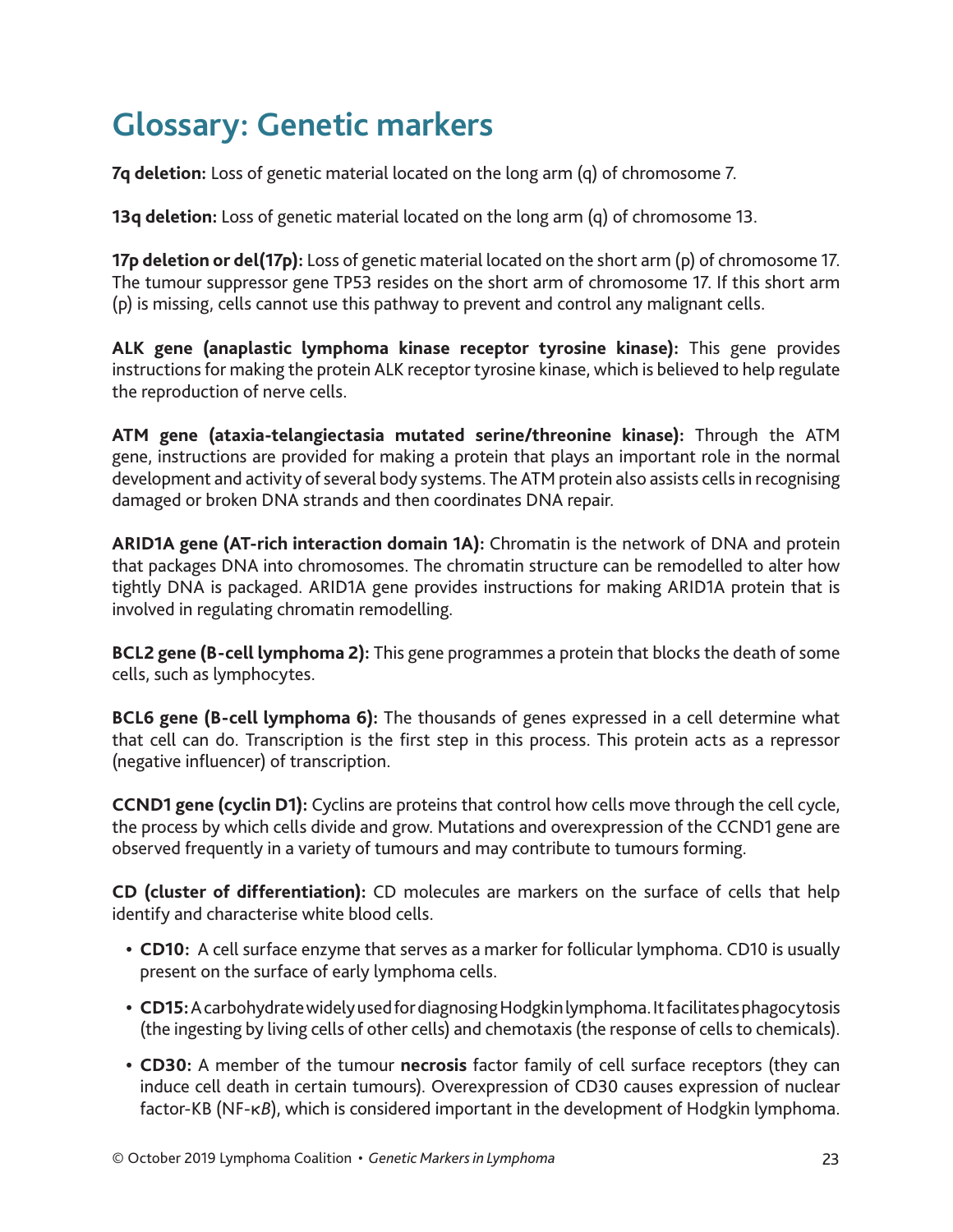# **Glossary: Genetic markers**

**7q deletion:** Loss of genetic material located on the long arm (q) of chromosome 7.

**13q deletion:** Loss of genetic material located on the long arm (q) of chromosome 13.

**17p deletion or del(17p):** Loss of genetic material located on the short arm (p) of chromosome 17. The tumour suppressor gene TP53 resides on the short arm of chromosome 17. If this short arm (p) is missing, cells cannot use this pathway to prevent and control any malignant cells.

**ALK gene (anaplastic lymphoma kinase receptor tyrosine kinase):** This gene provides instructions for making the protein ALK receptor tyrosine kinase, which is believed to help regulate the reproduction of nerve cells.

**ATM gene (ataxia-telangiectasia mutated serine/threonine kinase):** Through the ATM gene, instructions are provided for making a protein that plays an important role in the normal development and activity of several body systems. The ATM protein also assists cells in recognising damaged or broken DNA strands and then coordinates DNA repair.

**ARID1A gene (AT-rich interaction domain 1A):** Chromatin is the network of DNA and protein that packages DNA into chromosomes. The chromatin structure can be remodelled to alter how tightly DNA is packaged. ARID1A gene provides instructions for making ARID1A protein that is involved in regulating chromatin remodelling.

**BCL2 gene (B-cell lymphoma 2):** This gene programmes a protein that blocks the death of some cells, such as lymphocytes.

**BCL6 gene (B-cell lymphoma 6):** The thousands of genes expressed in a cell determine what that cell can do. Transcription is the first step in this process. This protein acts as a repressor (negative influencer) of transcription.

**CCND1 gene (cyclin D1):** Cyclins are proteins that control how cells move through the cell cycle, the process by which cells divide and grow. Mutations and overexpression of the CCND1 gene are observed frequently in a variety of tumours and may contribute to tumours forming.

**CD (cluster of differentiation):** CD molecules are markers on the surface of cells that help identify and characterise white blood cells.

- **• CD10:** A cell surface enzyme that serves as a marker for follicular lymphoma. CD10 is usually present on the surface of early lymphoma cells.
- **• CD15:** A carbohydrate widely used for diagnosing Hodgkin lymphoma. It facilitates phagocytosis (the ingesting by living cells of other cells) and chemotaxis (the response of cells to chemicals).
- **• CD30:** A member of the tumour **necrosis** factor family of cell surface receptors (they can induce cell death in certain tumours). Overexpression of CD30 causes expression of nuclear factor-KB (NF-κ*B*), which is considered important in the development of Hodgkin lymphoma.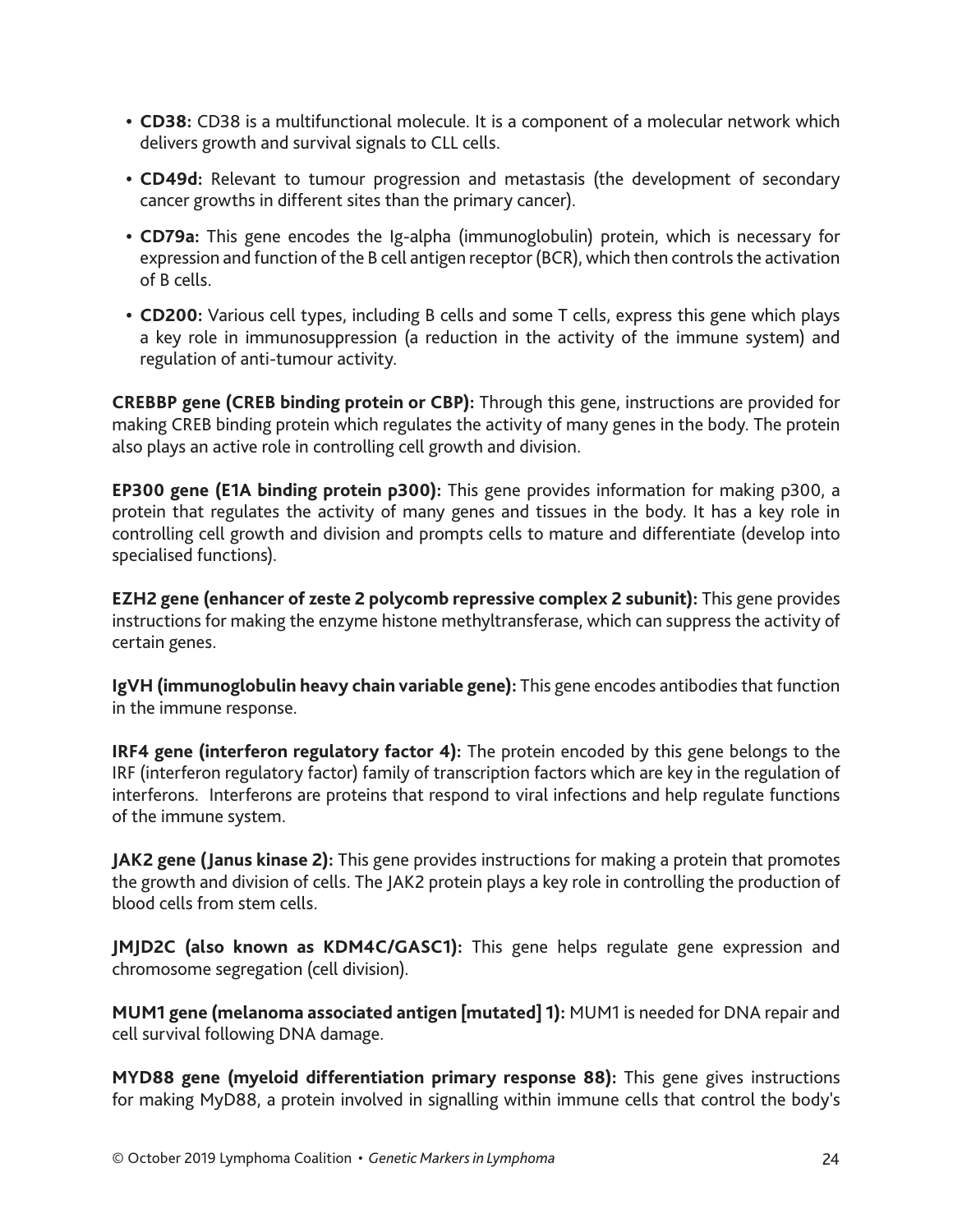- **• CD38:** CD38 is a multifunctional molecule. It is a component of a molecular network which delivers growth and survival signals to CLL cells.
- **• CD49d:** Relevant to tumour progression and metastasis (the development of secondary cancer growths in different sites than the primary cancer).
- **• CD79a:** This gene encodes the Ig-alpha (immunoglobulin) protein, which is necessary for expression and function of the B cell antigen receptor (BCR), which then controls the activation of B cells.
- **• CD200:** Various cell types, including B cells and some T cells, express this gene which plays a key role in immunosuppression (a reduction in the activity of the immune system) and regulation of anti-tumour activity.

**CREBBP gene (CREB binding protein or CBP):** Through this gene, instructions are provided for making CREB binding protein which regulates the activity of many genes in the body. The protein also plays an active role in controlling cell growth and division.

**EP300 gene (E1A binding protein p300):** This gene provides information for making p300, a protein that regulates the activity of many genes and tissues in the body. It has a key role in controlling cell growth and division and prompts cells to mature and differentiate (develop into specialised functions).

**EZH2 gene (enhancer of zeste 2 polycomb repressive complex 2 subunit):** This gene provides instructions for making the enzyme histone methyltransferase, which can suppress the activity of certain genes.

**IgVH (immunoglobulin heavy chain variable gene):** This gene encodes antibodies that function in the immune response.

**IRF4 gene (interferon regulatory factor 4):** The protein encoded by this gene belongs to the IRF (interferon regulatory factor) family of transcription factors which are key in the regulation of interferons. Interferons are proteins that respond to viral infections and help regulate functions of the immune system.

**JAK2 gene (Janus kinase 2):** This gene provides instructions for making a protein that promotes the growth and division of cells. The JAK2 protein plays a key role in controlling the production of blood cells from stem cells.

**JMJD2C (also known as KDM4C/GASC1):** This gene helps regulate gene expression and chromosome segregation (cell division).

**MUM1 gene (melanoma associated antigen [mutated] 1):** MUM1 is needed for DNA repair and cell survival following DNA damage.

**MYD88 gene (myeloid differentiation primary response 88):** This gene gives instructions for making MyD88, a protein involved in signalling within immune cells that control the body's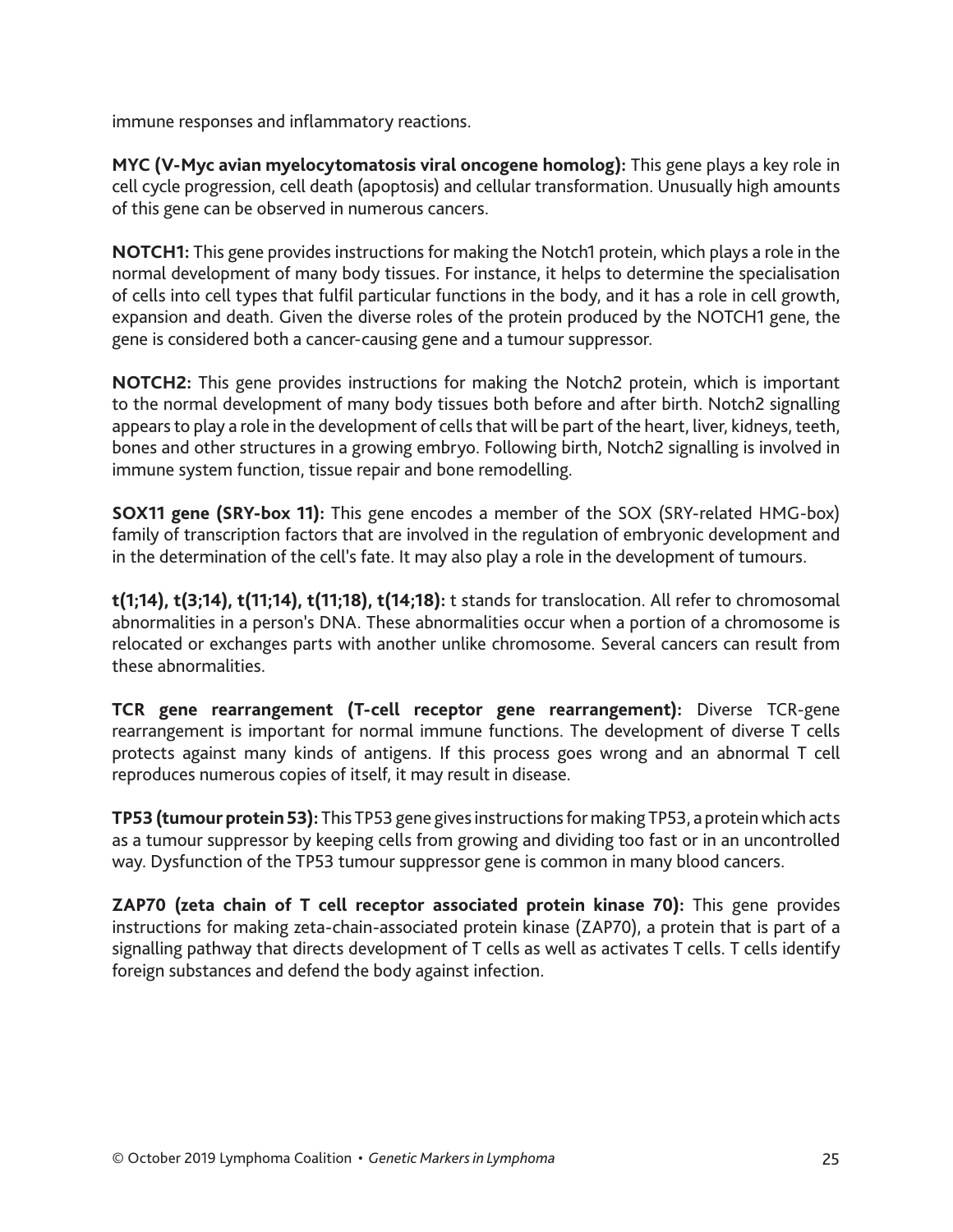immune responses and inflammatory reactions.

**MYC (V-Myc avian myelocytomatosis viral oncogene homolog):** This gene plays a key role in cell cycle progression, cell death (apoptosis) and cellular transformation. Unusually high amounts of this gene can be observed in numerous cancers.

**NOTCH1:** This gene provides instructions for making the Notch1 protein, which plays a role in the normal development of many body tissues. For instance, it helps to determine the specialisation of cells into cell types that fulfil particular functions in the body, and it has a role in cell growth, expansion and death. Given the diverse roles of the protein produced by the NOTCH1 gene, the gene is considered both a cancer-causing gene and a tumour suppressor.

**NOTCH2:** This gene provides instructions for making the Notch2 protein, which is important to the normal development of many body tissues both before and after birth. Notch2 signalling appears to play a role in the development of cells that will be part of the heart, liver, kidneys, teeth, bones and other structures in a growing embryo. Following birth, Notch2 signalling is involved in immune system function, tissue repair and bone remodelling.

**SOX11 gene (SRY-box 11):** This gene encodes a member of the SOX (SRY-related HMG-box) family of transcription factors that are involved in the regulation of embryonic development and in the determination of the cell's fate. It may also play a role in the development of tumours.

**t(1;14), t(3;14), t(11;14), t(11;18), t(14;18):** t stands for translocation. All refer to chromosomal abnormalities in a person's DNA. These abnormalities occur when a portion of a chromosome is relocated or exchanges parts with another unlike chromosome. Several cancers can result from these abnormalities.

**TCR gene rearrangement (T-cell receptor gene rearrangement):** Diverse TCR-gene rearrangement is important for normal immune functions. The development of diverse T cells protects against many kinds of antigens. If this process goes wrong and an abnormal T cell reproduces numerous copies of itself, it may result in disease.

**TP53 (tumour protein 53):** This TP53 gene gives instructions for making TP53, a protein which acts as a tumour suppressor by keeping cells from growing and dividing too fast or in an uncontrolled way. Dysfunction of the TP53 tumour suppressor gene is common in many blood cancers.

**ZAP70 (zeta chain of T cell receptor associated protein kinase 70):** This gene provides instructions for making zeta-chain-associated protein kinase (ZAP70), a protein that is part of a signalling pathway that directs development of T cells as well as activates T cells. T cells identify foreign substances and defend the body against infection.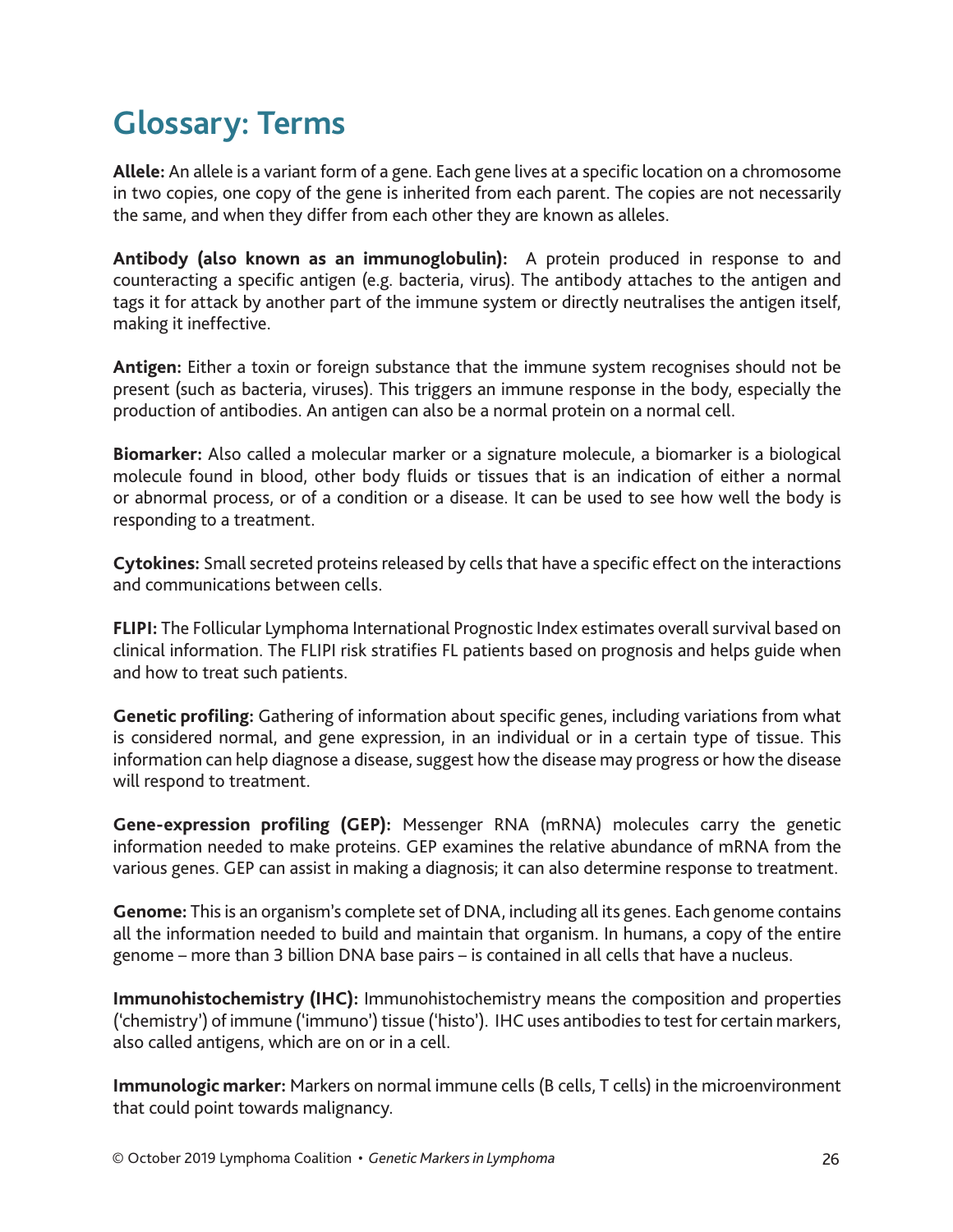# **Glossary: Terms**

**Allele:** An allele is a variant form of a gene. Each gene lives at a specific location on a chromosome in two copies, one copy of the gene is inherited from each parent. The copies are not necessarily the same, and when they differ from each other they are known as alleles.

**Antibody (also known as an immunoglobulin):** A protein produced in response to and counteracting a specific antigen (e.g. bacteria, virus). The antibody attaches to the antigen and tags it for attack by another part of the immune system or directly neutralises the antigen itself, making it ineffective.

**Antigen:** Either a toxin or foreign substance that the immune system recognises should not be present (such as bacteria, viruses). This triggers an immune response in the body, especially the production of antibodies. An antigen can also be a normal protein on a normal cell.

**Biomarker:** Also called a molecular marker or a signature molecule, a biomarker is a biological molecule found in blood, other body fluids or tissues that is an indication of either a normal or abnormal process, or of a condition or a disease. It can be used to see how well the body is responding to a treatment.

**Cytokines:** Small secreted proteins released by cells that have a specific effect on the interactions and communications between cells.

**FLIPI:** The Follicular Lymphoma International Prognostic Index estimates overall survival based on clinical information. The FLIPI risk stratifies FL patients based on prognosis and helps guide when and how to treat such patients.

**Genetic profiling:** Gathering of information about specific genes, including variations from what is considered normal, and gene expression, in an individual or in a certain type of tissue. This information can help diagnose a disease, suggest how the disease may progress or how the disease will respond to treatment.

**Gene-expression profiling (GEP):** Messenger RNA (mRNA) molecules carry the genetic information needed to make proteins. GEP examines the relative abundance of mRNA from the various genes. GEP can assist in making a diagnosis; it can also determine response to treatment.

**Genome:** This is an organism's complete set of DNA, including all its genes. Each genome contains all the information needed to build and maintain that organism. In humans, a copy of the entire genome – more than 3 billion DNA base pairs – is contained in all cells that have a nucleus.

**Immunohistochemistry (IHC):** Immunohistochemistry means the composition and properties ('chemistry') of immune ('immuno') tissue ('histo'). IHC uses antibodies to test for certain markers, also called antigens, which are on or in a cell.

**Immunologic marker:** Markers on normal immune cells (B cells, T cells) in the microenvironment that could point towards malignancy.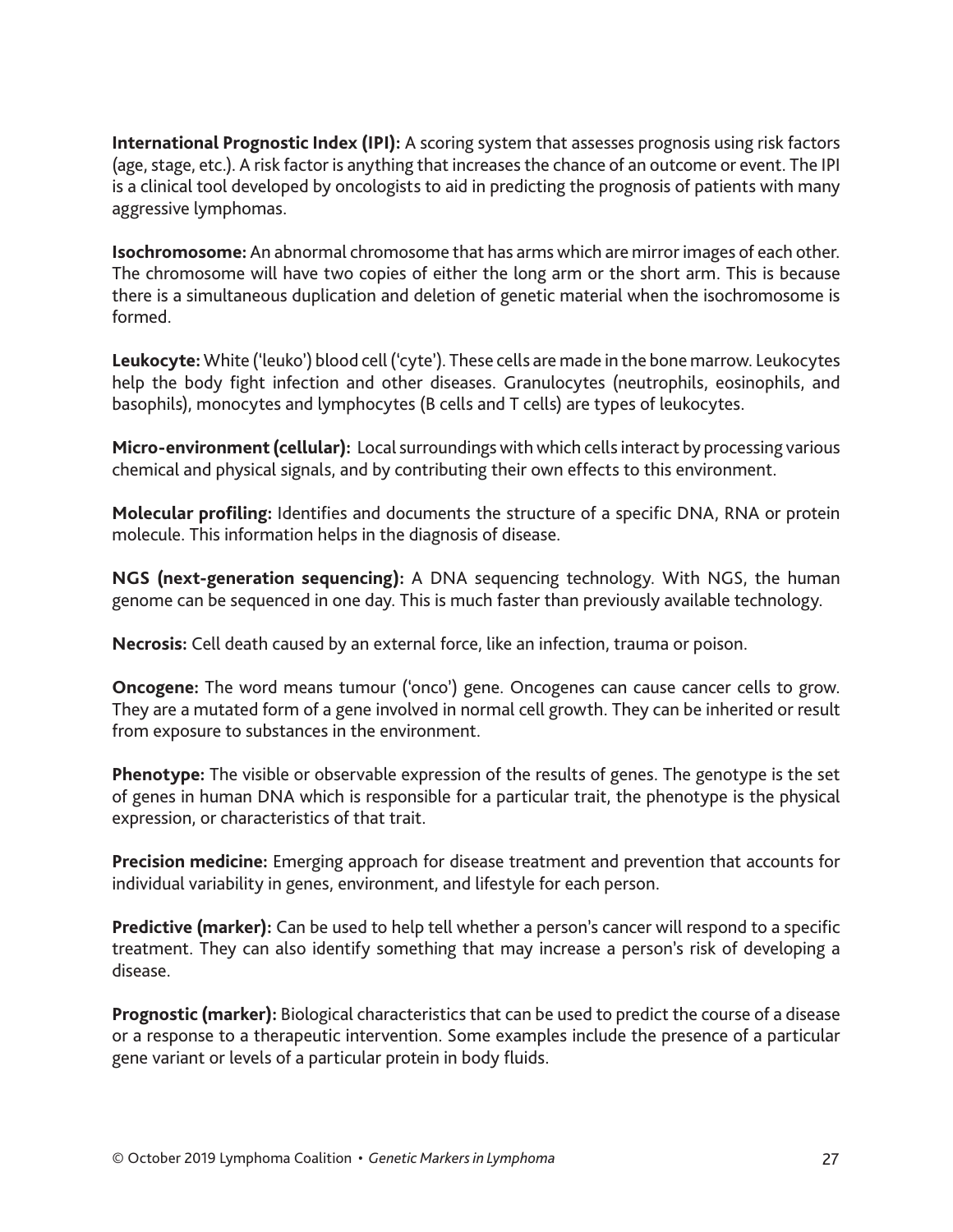**International Prognostic Index (IPI):** A scoring system that assesses prognosis using risk factors (age, stage, etc.). A risk factor is anything that increases the chance of an outcome or event. The IPI is a clinical tool developed by oncologists to aid in predicting the prognosis of patients with many aggressive lymphomas.

**Isochromosome:** An abnormal chromosome that has arms which are mirror images of each other. The chromosome will have two copies of either the long arm or the short arm. This is because there is a simultaneous duplication and deletion of genetic material when the isochromosome is formed.

**Leukocyte:** White ('leuko') blood cell ('cyte'). These cells are made in the bone marrow. Leukocytes help the body fight infection and other diseases. Granulocytes (neutrophils, eosinophils, and basophils), monocytes and lymphocytes (B cells and T cells) are types of leukocytes.

**Micro-environment (cellular):** Local surroundings with which cells interact by processing various chemical and physical signals, and by contributing their own effects to this environment.

**Molecular profiling:** Identifies and documents the structure of a specific DNA, RNA or protein molecule. This information helps in the diagnosis of disease.

**NGS (next-generation sequencing):** A DNA sequencing technology. With NGS, the human genome can be sequenced in one day. This is much faster than previously available technology.

**Necrosis:** Cell death caused by an external force, like an infection, trauma or poison.

**Oncogene:** The word means tumour ('onco') gene. Oncogenes can cause cancer cells to grow. They are a mutated form of a gene involved in normal cell growth. They can be inherited or result from exposure to substances in the environment.

**Phenotype:** The visible or observable expression of the results of genes. The genotype is the set of genes in human DNA which is responsible for a particular trait, the phenotype is the physical expression, or characteristics of that trait.

**Precision medicine:** Emerging approach for disease treatment and prevention that accounts for individual variability in genes, environment, and lifestyle for each person.

**Predictive (marker):** Can be used to help tell whether a person's cancer will respond to a specific treatment. They can also identify something that may increase a person's risk of developing a disease.

**Prognostic (marker):** Biological characteristics that can be used to predict the course of a disease or a response to a therapeutic intervention. Some examples include the presence of a particular gene variant or levels of a particular protein in body fluids.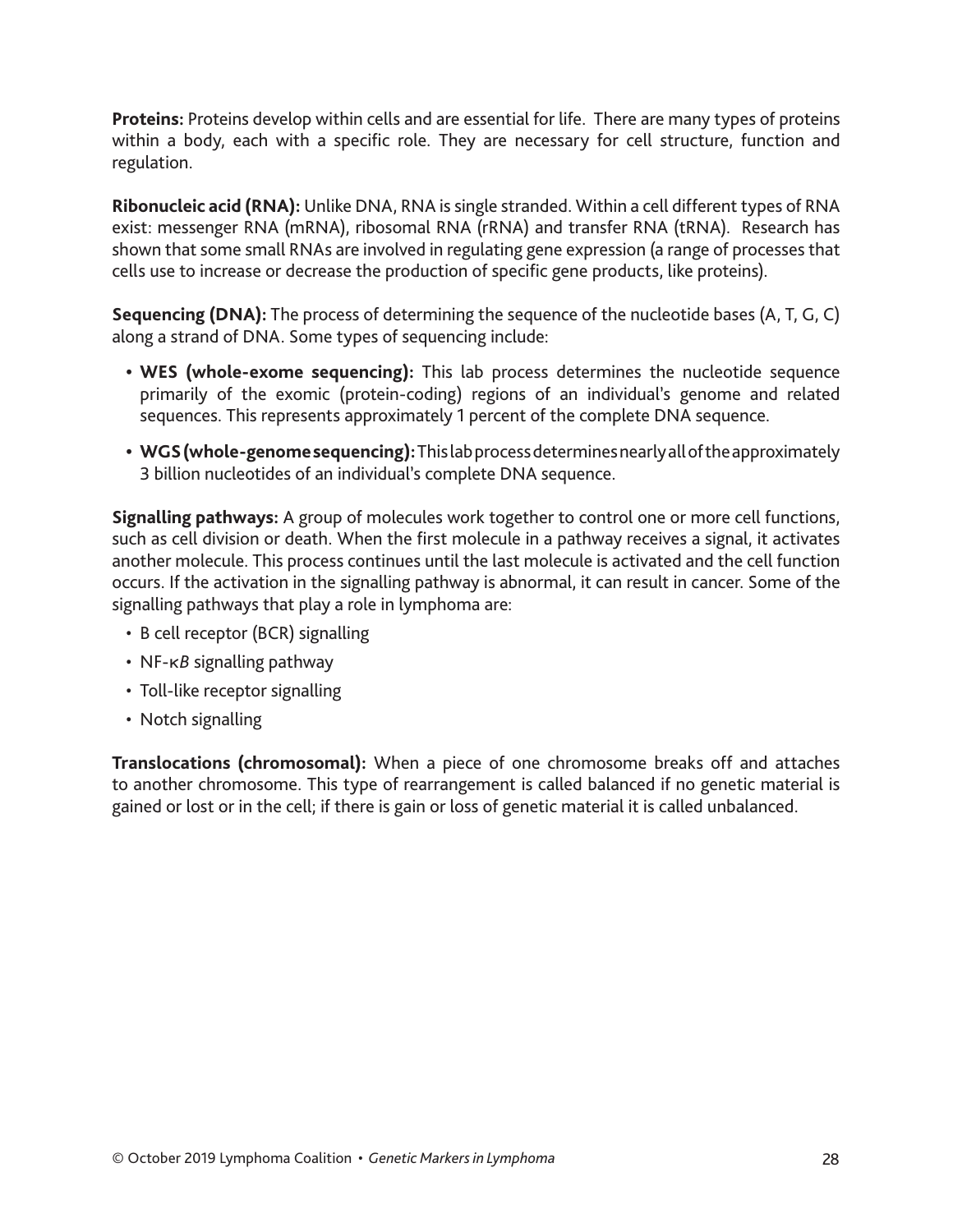**Proteins:** Proteins develop within cells and are essential for life. There are many types of proteins within a body, each with a specific role. They are necessary for cell structure, function and regulation.

**Ribonucleic acid (RNA):** Unlike DNA, RNA is single stranded. Within a cell different types of RNA exist: messenger RNA (mRNA), ribosomal RNA (rRNA) and transfer RNA (tRNA). Research has shown that some small RNAs are involved in regulating gene expression (a range of processes that cells use to increase or decrease the production of specific gene products, like proteins).

**Sequencing (DNA):** The process of determining the sequence of the nucleotide bases (A, T, G, C) along a strand of DNA. Some types of sequencing include:

- **• WES (whole-exome sequencing):** This lab process determines the nucleotide sequence primarily of the exomic (protein-coding) regions of an individual's genome and related sequences. This represents approximately 1 percent of the complete DNA sequence.
- **• WGS (whole-genome sequencing):** This lab process determines nearly all of the approximately 3 billion nucleotides of an individual's complete DNA sequence.

**Signalling pathways:** A group of molecules work together to control one or more cell functions, such as cell division or death. When the first molecule in a pathway receives a signal, it activates another molecule. This process continues until the last molecule is activated and the cell function occurs. If the activation in the signalling pathway is abnormal, it can result in cancer. Some of the signalling pathways that play a role in lymphoma are:

- B cell receptor (BCR) signalling
- NF-κ*B* signalling pathway
- Toll-like receptor signalling
- Notch signalling

**Translocations (chromosomal):** When a piece of one chromosome breaks off and attaches to another chromosome. This type of rearrangement is called balanced if no genetic material is gained or lost or in the cell; if there is gain or loss of genetic material it is called unbalanced.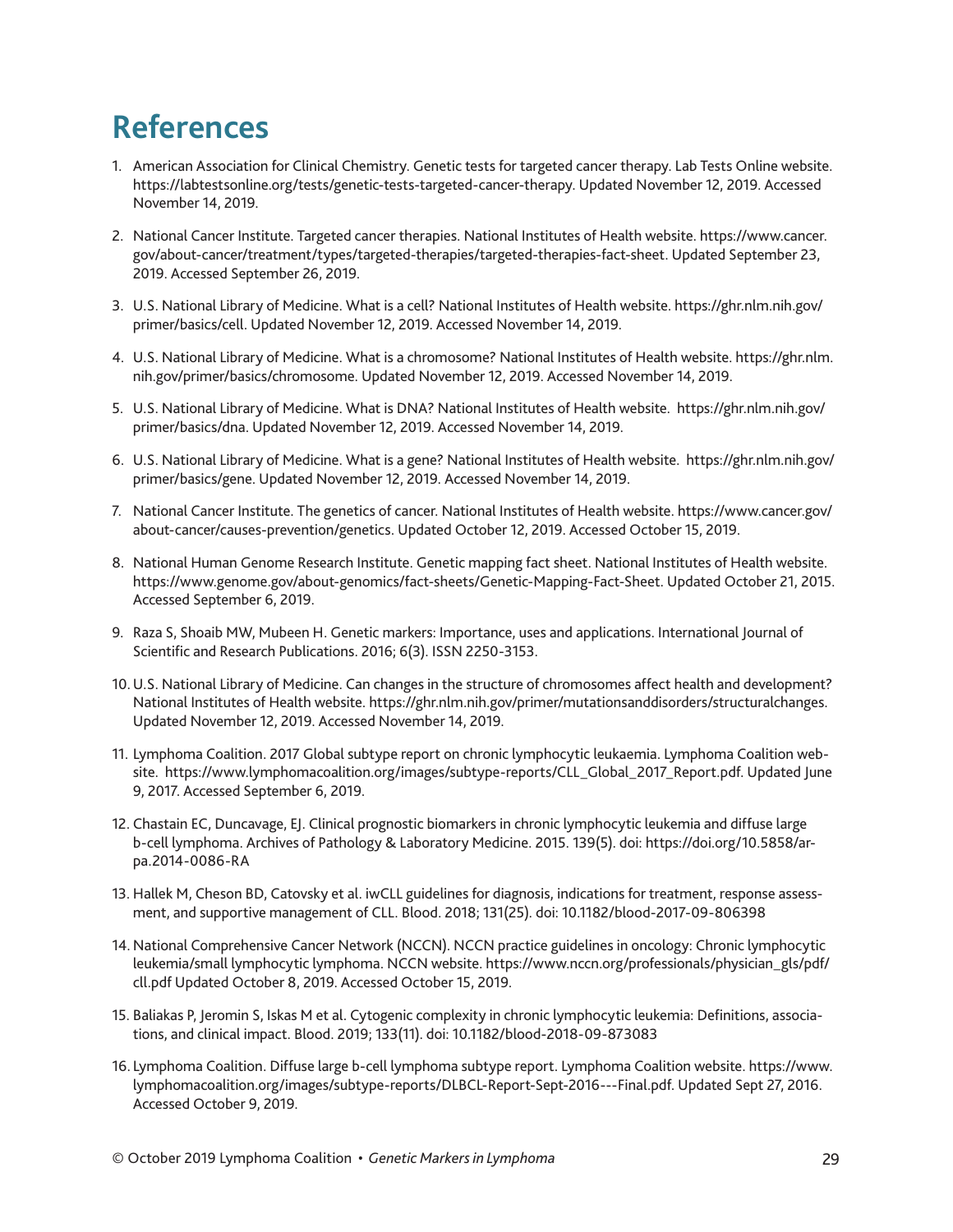### **References**

- 1. American Association for Clinical Chemistry. Genetic tests for targeted cancer therapy. Lab Tests Online website. https://labtestsonline.org/tests/genetic-tests-targeted-cancer-therapy. Updated November 12, 2019. Accessed November 14, 2019.
- 2. National Cancer Institute. Targeted cancer therapies. National Institutes of Health website. https://www.cancer. gov/about-cancer/treatment/types/targeted-therapies/targeted-therapies-fact-sheet. Updated September 23, 2019. Accessed September 26, 2019.
- 3. U.S. National Library of Medicine. What is a cell? National Institutes of Health website. https://ghr.nlm.nih.gov/ primer/basics/cell. Updated November 12, 2019. Accessed November 14, 2019.
- 4. U.S. National Library of Medicine. What is a chromosome? National Institutes of Health website. https://ghr.nlm. nih.gov/primer/basics/chromosome. Updated November 12, 2019. Accessed November 14, 2019.
- 5. U.S. National Library of Medicine. What is DNA? National Institutes of Health website. https://ghr.nlm.nih.gov/ primer/basics/dna. Updated November 12, 2019. Accessed November 14, 2019.
- 6. U.S. National Library of Medicine. What is a gene? National Institutes of Health website. https://ghr.nlm.nih.gov/ primer/basics/gene. Updated November 12, 2019. Accessed November 14, 2019.
- 7. National Cancer Institute. The genetics of cancer. National Institutes of Health website. https://www.cancer.gov/ about-cancer/causes-prevention/genetics. Updated October 12, 2019. Accessed October 15, 2019.
- 8. National Human Genome Research Institute. Genetic mapping fact sheet. National Institutes of Health website. https://www.genome.gov/about-genomics/fact-sheets/Genetic-Mapping-Fact-Sheet. Updated October 21, 2015. Accessed September 6, 2019.
- 9. Raza S, Shoaib MW, Mubeen H. Genetic markers: Importance, uses and applications. International Journal of Scientific and Research Publications. 2016; 6(3). ISSN 2250-3153.
- 10.U.S. National Library of Medicine. Can changes in the structure of chromosomes affect health and development? National Institutes of Health website. https://ghr.nlm.nih.gov/primer/mutationsanddisorders/structuralchanges. Updated November 12, 2019. Accessed November 14, 2019.
- 11. Lymphoma Coalition. 2017 Global subtype report on chronic lymphocytic leukaemia. Lymphoma Coalition website. https://www.lymphomacoalition.org/images/subtype-reports/CLL\_Global\_2017\_Report.pdf. Updated June 9, 2017. Accessed September 6, 2019.
- 12. Chastain EC, Duncavage, EJ. Clinical prognostic biomarkers in chronic lymphocytic leukemia and diffuse large b-cell lymphoma. Archives of Pathology & Laboratory Medicine. 2015. 139(5). doi: https://doi.org/10.5858/arpa.2014-0086-RA
- 13. Hallek M, Cheson BD, Catovsky et al. iwCLL guidelines for diagnosis, indications for treatment, response assessment, and supportive management of CLL. Blood. 2018; 131(25). doi: 10.1182/blood-2017-09-806398
- 14. National Comprehensive Cancer Network (NCCN). NCCN practice guidelines in oncology: Chronic lymphocytic leukemia/small lymphocytic lymphoma. NCCN website. https://www.nccn.org/professionals/physician\_gls/pdf/ cll.pdf Updated October 8, 2019. Accessed October 15, 2019.
- 15. Baliakas P, Jeromin S, Iskas M et al. Cytogenic complexity in chronic lymphocytic leukemia: Definitions, associations, and clinical impact. Blood. 2019; 133(11). doi: 10.1182/blood-2018-09-873083
- 16. Lymphoma Coalition. Diffuse large b-cell lymphoma subtype report. Lymphoma Coalition website. https://www. lymphomacoalition.org/images/subtype-reports/DLBCL-Report-Sept-2016---Final.pdf. Updated Sept 27, 2016. Accessed October 9, 2019.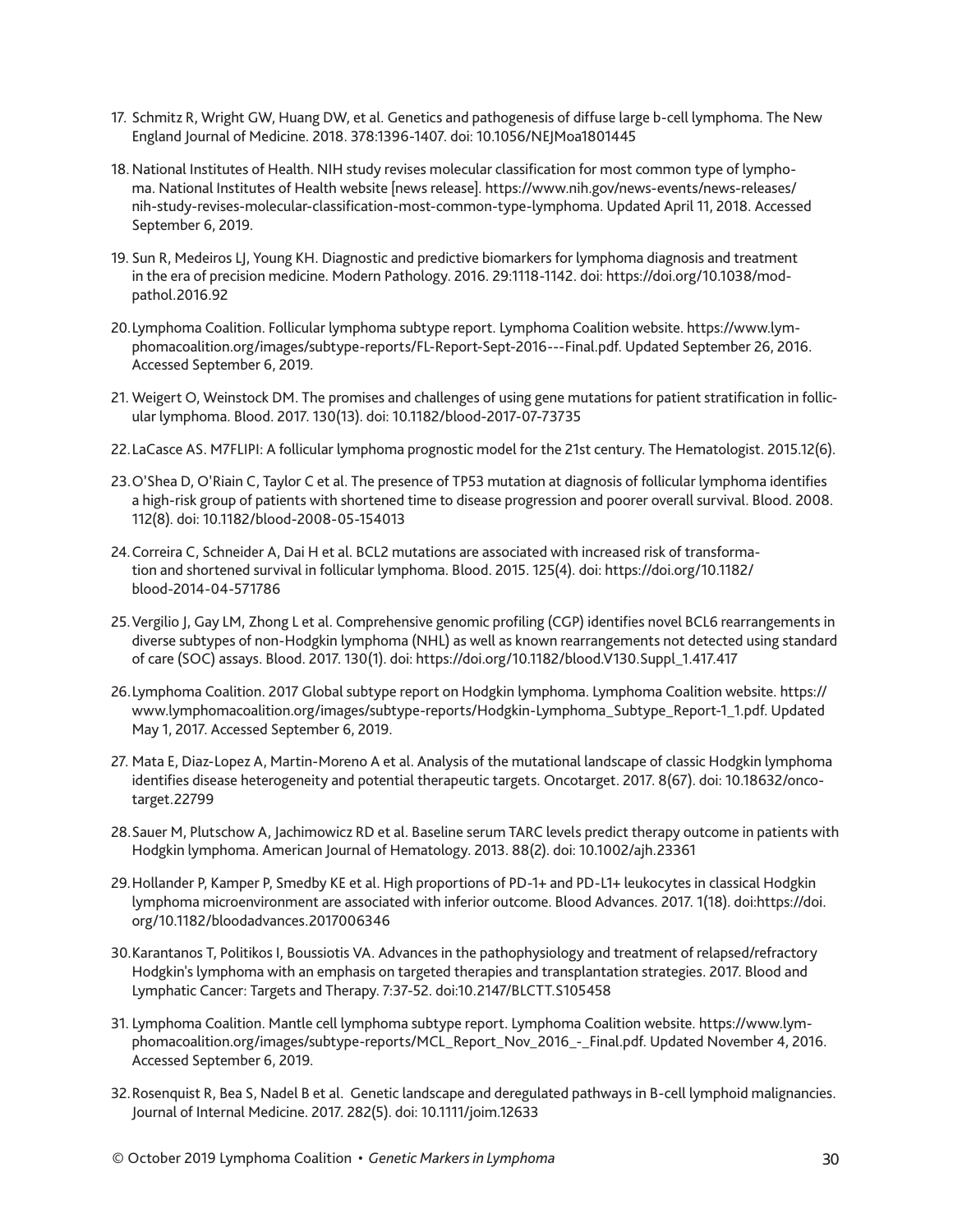- 17. Schmitz R, Wright GW, Huang DW, et al. Genetics and pathogenesis of diffuse large b-cell lymphoma. The New England Journal of Medicine. 2018. 378:1396-1407. doi: 10.1056/NEJMoa1801445
- 18.National Institutes of Health. NIH study revises molecular classification for most common type of lymphoma. National Institutes of Health website [news release]. https://www.nih.gov/news-events/news-releases/ nih-study-revises-molecular-classification-most-common-type-lymphoma. Updated April 11, 2018. Accessed September 6, 2019.
- 19. Sun R, Medeiros LJ, Young KH. Diagnostic and predictive biomarkers for lymphoma diagnosis and treatment in the era of precision medicine. Modern Pathology. 2016. 29:1118-1142. doi: https://doi.org/10.1038/modpathol.2016.92
- 20.Lymphoma Coalition. Follicular lymphoma subtype report. Lymphoma Coalition website. https://www.lymphomacoalition.org/images/subtype-reports/FL-Report-Sept-2016---Final.pdf. Updated September 26, 2016. Accessed September 6, 2019.
- 21. Weigert O, Weinstock DM. The promises and challenges of using gene mutations for patient stratification in follicular lymphoma. Blood. 2017. 130(13). doi: 10.1182/blood-2017-07-73735
- 22.LaCasce AS. M7FLIPI: A follicular lymphoma prognostic model for the 21st century. The Hematologist. 2015.12(6).
- 23.O'Shea D, O'Riain C, Taylor C et al. The presence of TP53 mutation at diagnosis of follicular lymphoma identifies a high-risk group of patients with shortened time to disease progression and poorer overall survival. Blood. 2008. 112(8). doi: 10.1182/blood-2008-05-154013
- 24.Correira C, Schneider A, Dai H et al. BCL2 mutations are associated with increased risk of transformation and shortened survival in follicular lymphoma. Blood. 2015. 125(4). doi: https://doi.org/10.1182/ blood-2014-04-571786
- 25.Vergilio J, Gay LM, Zhong L et al. Comprehensive genomic profiling (CGP) identifies novel BCL6 rearrangements in diverse subtypes of non-Hodgkin lymphoma (NHL) as well as known rearrangements not detected using standard of care (SOC) assays. Blood. 2017. 130(1). doi: https://doi.org/10.1182/blood.V130.Suppl\_1.417.417
- 26.Lymphoma Coalition. 2017 Global subtype report on Hodgkin lymphoma. Lymphoma Coalition website. https:// www.lymphomacoalition.org/images/subtype-reports/Hodgkin-Lymphoma\_Subtype\_Report-1\_1.pdf. Updated May 1, 2017. Accessed September 6, 2019.
- 27. Mata E, Diaz-Lopez A, Martin-Moreno A et al. Analysis of the mutational landscape of classic Hodgkin lymphoma identifies disease heterogeneity and potential therapeutic targets. Oncotarget. 2017. 8(67). doi: 10.18632/oncotarget.22799
- 28.Sauer M, Plutschow A, Jachimowicz RD et al. Baseline serum TARC levels predict therapy outcome in patients with Hodgkin lymphoma. American Journal of Hematology. 2013. 88(2). doi: 10.1002/ajh.23361
- 29.Hollander P, Kamper P, Smedby KE et al. High proportions of PD-1+ and PD-L1+ leukocytes in classical Hodgkin lymphoma microenvironment are associated with inferior outcome. Blood Advances. 2017. 1(18). doi:https://doi. org/10.1182/bloodadvances.2017006346
- 30.Karantanos T, Politikos I, Boussiotis VA. Advances in the pathophysiology and treatment of relapsed/refractory Hodgkin's lymphoma with an emphasis on targeted therapies and transplantation strategies. 2017. Blood and Lymphatic Cancer: Targets and Therapy. 7:37-52. doi:10.2147/BLCTT.S105458
- 31. Lymphoma Coalition. Mantle cell lymphoma subtype report. Lymphoma Coalition website. https://www.lymphomacoalition.org/images/subtype-reports/MCL\_Report\_Nov\_2016\_-\_Final.pdf. Updated November 4, 2016. Accessed September 6, 2019.
- 32.Rosenquist R, Bea S, Nadel B et al. Genetic landscape and deregulated pathways in B-cell lymphoid malignancies. Journal of Internal Medicine. 2017. 282(5). doi: 10.1111/joim.12633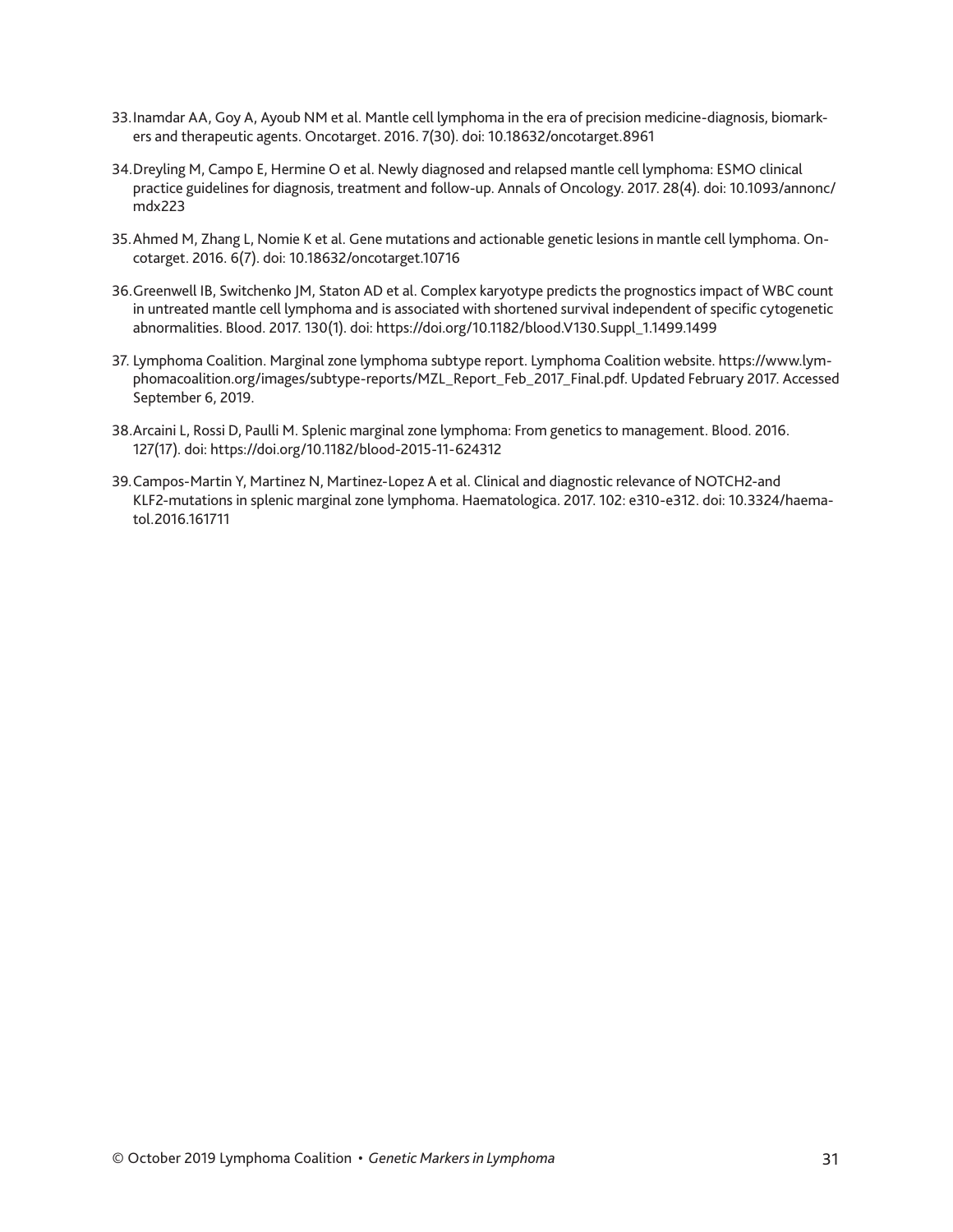- 33.Inamdar AA, Goy A, Ayoub NM et al. Mantle cell lymphoma in the era of precision medicine-diagnosis, biomarkers and therapeutic agents. Oncotarget. 2016. 7(30). doi: 10.18632/oncotarget.8961
- 34.Dreyling M, Campo E, Hermine O et al. Newly diagnosed and relapsed mantle cell lymphoma: ESMO clinical practice guidelines for diagnosis, treatment and follow-up. Annals of Oncology. 2017. 28(4). doi: 10.1093/annonc/ mdx223
- 35.Ahmed M, Zhang L, Nomie K et al. Gene mutations and actionable genetic lesions in mantle cell lymphoma. Oncotarget. 2016. 6(7). doi: 10.18632/oncotarget.10716
- 36.Greenwell IB, Switchenko JM, Staton AD et al. Complex karyotype predicts the prognostics impact of WBC count in untreated mantle cell lymphoma and is associated with shortened survival independent of specific cytogenetic abnormalities. Blood. 2017. 130(1). doi: https://doi.org/10.1182/blood.V130.Suppl\_1.1499.1499
- 37. Lymphoma Coalition. Marginal zone lymphoma subtype report. Lymphoma Coalition website. https://www.lymphomacoalition.org/images/subtype-reports/MZL\_Report\_Feb\_2017\_Final.pdf. Updated February 2017. Accessed September 6, 2019.
- 38.Arcaini L, Rossi D, Paulli M. Splenic marginal zone lymphoma: From genetics to management. Blood. 2016. 127(17). doi: https://doi.org/10.1182/blood-2015-11-624312
- 39.Campos-Martin Y, Martinez N, Martinez-Lopez A et al. Clinical and diagnostic relevance of NOTCH2-and KLF2-mutations in splenic marginal zone lymphoma. Haematologica. 2017. 102: e310-e312. doi: 10.3324/haematol.2016.161711